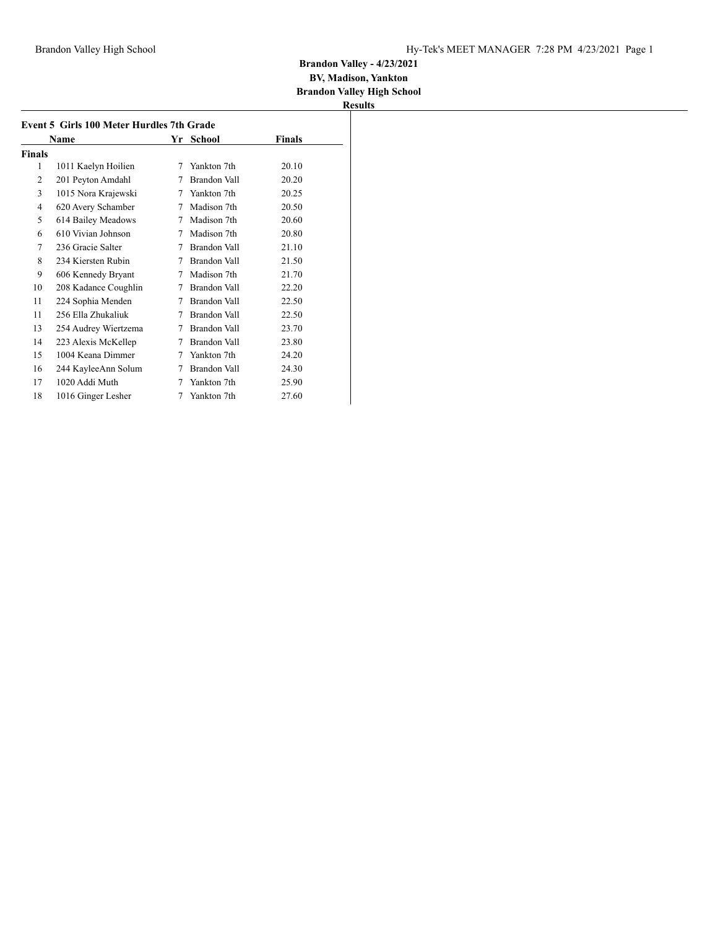#### **BV, Madison, Yankton Brandon Valley High School**

|        | Name                 |   | Yr School    | Finals |
|--------|----------------------|---|--------------|--------|
| Finals |                      |   |              |        |
| 1      | 1011 Kaelyn Hoilien  | 7 | Yankton 7th  | 20.10  |
| 2      | 201 Peyton Amdahl    | 7 | Brandon Vall | 20.20  |
| 3      | 1015 Nora Krajewski  | 7 | Yankton 7th  | 20.25  |
| 4      | 620 Avery Schamber   | 7 | Madison 7th  | 20.50  |
| 5      | 614 Bailey Meadows   | 7 | Madison 7th  | 20.60  |
| 6      | 610 Vivian Johnson   | 7 | Madison 7th  | 20.80  |
| 7      | 236 Gracie Salter    | 7 | Brandon Vall | 21.10  |
| 8      | 234 Kiersten Rubin   | 7 | Brandon Vall | 21.50  |
| 9      | 606 Kennedy Bryant   | 7 | Madison 7th  | 21.70  |
| 10     | 208 Kadance Coughlin | 7 | Brandon Vall | 22.20  |
| 11     | 224 Sophia Menden    | 7 | Brandon Vall | 22.50  |
| 11     | 256 Ella Zhukaliuk   | 7 | Brandon Vall | 22.50  |
| 13     | 254 Audrey Wiertzema | 7 | Brandon Vall | 23.70  |
| 14     | 223 Alexis McKellep  | 7 | Brandon Vall | 23.80  |
| 15     | 1004 Keana Dimmer    | 7 | Yankton 7th  | 24.20  |
| 16     | 244 KayleeAnn Solum  | 7 | Brandon Vall | 24.30  |
| 17     | 1020 Addi Muth       | 7 | Yankton 7th  | 25.90  |
| 18     | 1016 Ginger Lesher   | 7 | Yankton 7th  | 27.60  |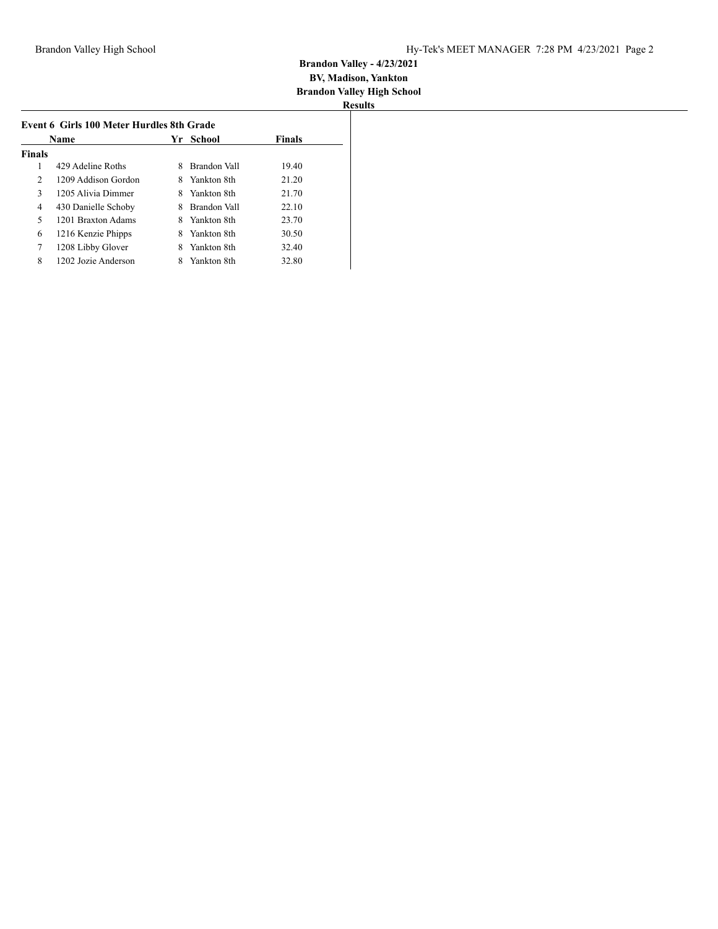| Name           |                     | School<br>Yr |              | <b>Finals</b> |
|----------------|---------------------|--------------|--------------|---------------|
| <b>Finals</b>  |                     |              |              |               |
| 1              | 429 Adeline Roths   | 8            | Brandon Vall | 19.40         |
| $\overline{2}$ | 1209 Addison Gordon | 8            | Yankton 8th  | 21.20         |
| 3              | 1205 Alivia Dimmer  | 8            | Yankton 8th  | 21.70         |
| 4              | 430 Danielle Schoby |              | Brandon Vall | 22.10         |
| 5              | 1201 Braxton Adams  |              | Yankton 8th  | 23.70         |
| 6              | 1216 Kenzie Phipps  | 8            | Yankton 8th  | 30.50         |
| 7              | 1208 Libby Glover   | 8            | Yankton 8th  | 32.40         |
| 8              | 1202 Jozie Anderson |              | Yankton 8th  | 32.80         |
|                |                     |              |              |               |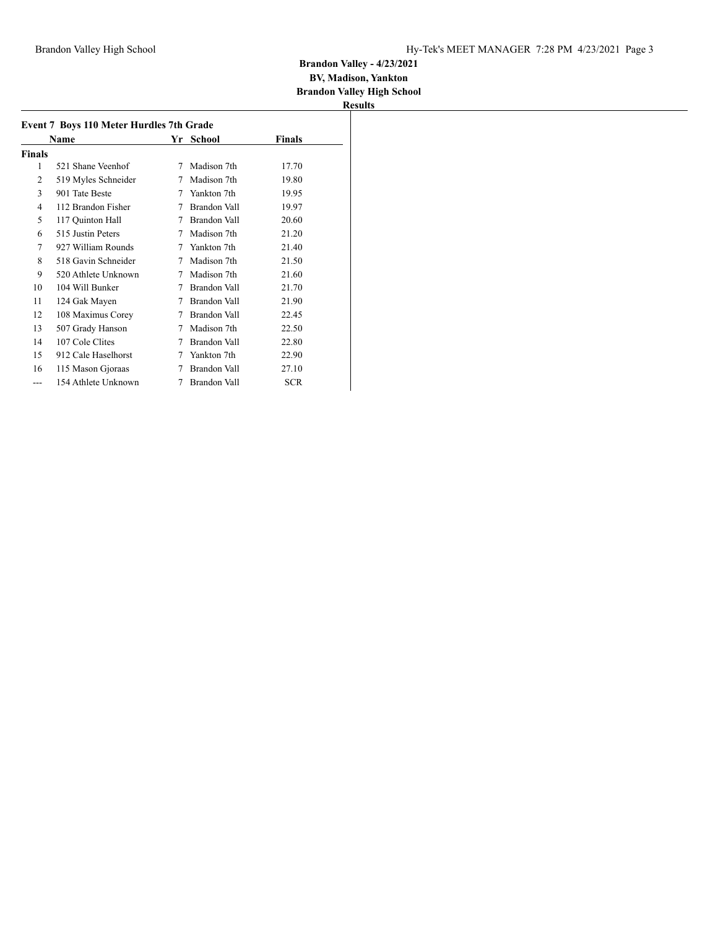## **Brandon Valley - 4/23/2021 BV, Madison, Yankton**

**Brandon Valley High School**

| Results |  |
|---------|--|

| <b>Event 7 Boys 110 Meter Hurdles 7th Grade</b> |                     |    |                     |            |
|-------------------------------------------------|---------------------|----|---------------------|------------|
|                                                 | Name                | Yr | School              | Finals     |
| Finals                                          |                     |    |                     |            |
| 1                                               | 521 Shane Veenhof   | 7  | Madison 7th         | 17.70      |
| $\overline{2}$                                  | 519 Myles Schneider | 7  | Madison 7th         | 19.80      |
| 3                                               | 901 Tate Beste      | 7  | Yankton 7th         | 19.95      |
| 4                                               | 112 Brandon Fisher  | 7  | Brandon Vall        | 19.97      |
| 5                                               | 117 Quinton Hall    | 7  | <b>Brandon Vall</b> | 20.60      |
| 6                                               | 515 Justin Peters   | 7  | Madison 7th         | 21.20      |
| 7                                               | 927 William Rounds  | 7  | Yankton 7th         | 21.40      |
| 8                                               | 518 Gavin Schneider | 7  | Madison 7th         | 21.50      |
| 9                                               | 520 Athlete Unknown | 7  | Madison 7th         | 21.60      |
| 10                                              | 104 Will Bunker     | 7  | Brandon Vall        | 21.70      |
| 11                                              | 124 Gak Mayen       | 7  | Brandon Vall        | 21.90      |
| 12                                              | 108 Maximus Corey   | 7  | Brandon Vall        | 22.45      |
| 13                                              | 507 Grady Hanson    | 7  | Madison 7th         | 22.50      |
| 14                                              | 107 Cole Clites     | 7  | Brandon Vall        | 22.80      |
| 15                                              | 912 Cale Haselhorst | 7  | Yankton 7th         | 22.90      |
| 16                                              | 115 Mason Gjoraas   | 7  | Brandon Vall        | 27.10      |
| ---                                             | 154 Athlete Unknown | 7  | <b>Brandon Vall</b> | <b>SCR</b> |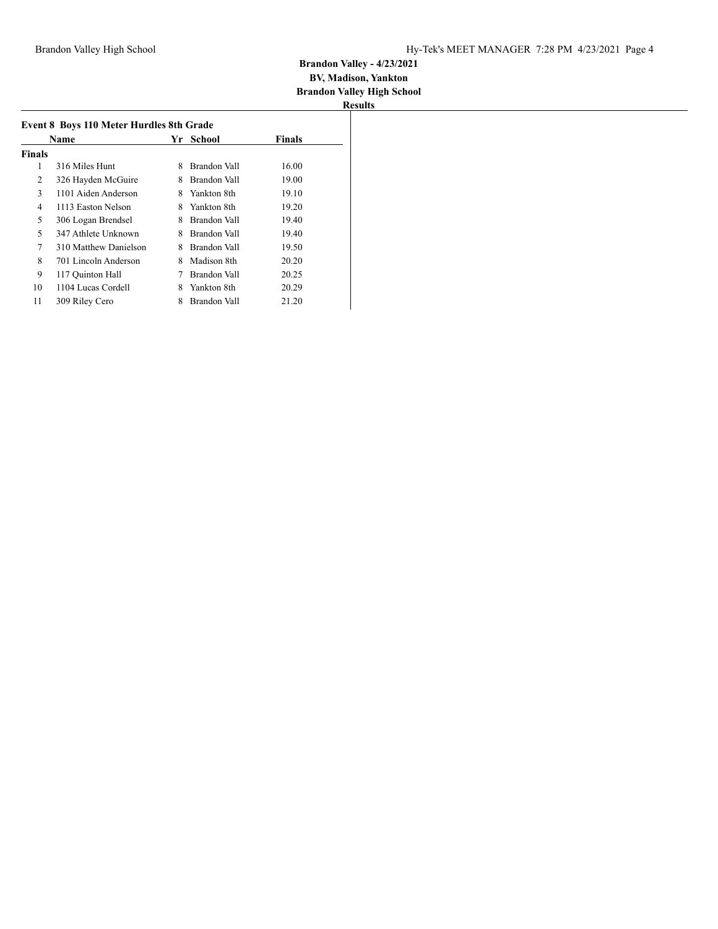| <b>Name</b> |                       | School<br>Yr |              | <b>Finals</b> |
|-------------|-----------------------|--------------|--------------|---------------|
| Finals      |                       |              |              |               |
| 1           | 316 Miles Hunt        | 8            | Brandon Vall | 16.00         |
| 2           | 326 Hayden McGuire    | 8            | Brandon Vall | 19.00         |
| 3           | 1101 Aiden Anderson   | 8            | Yankton 8th  | 19.10         |
| 4           | 1113 Easton Nelson    | 8            | Yankton 8th  | 19.20         |
| 5           | 306 Logan Brendsel    | 8            | Brandon Vall | 19.40         |
| 5           | 347 Athlete Unknown   | 8            | Brandon Vall | 19.40         |
| 7           | 310 Matthew Danielson | 8            | Brandon Vall | 19.50         |
| 8           | 701 Lincoln Anderson  | 8            | Madison 8th  | 20.20         |
| 9           | 117 Quinton Hall      | 7            | Brandon Vall | 20.25         |
| 10          | 1104 Lucas Cordell    | 8            | Yankton 8th  | 20.29         |
| 11          | 309 Riley Cero        | 8            | Brandon Vall | 21.20         |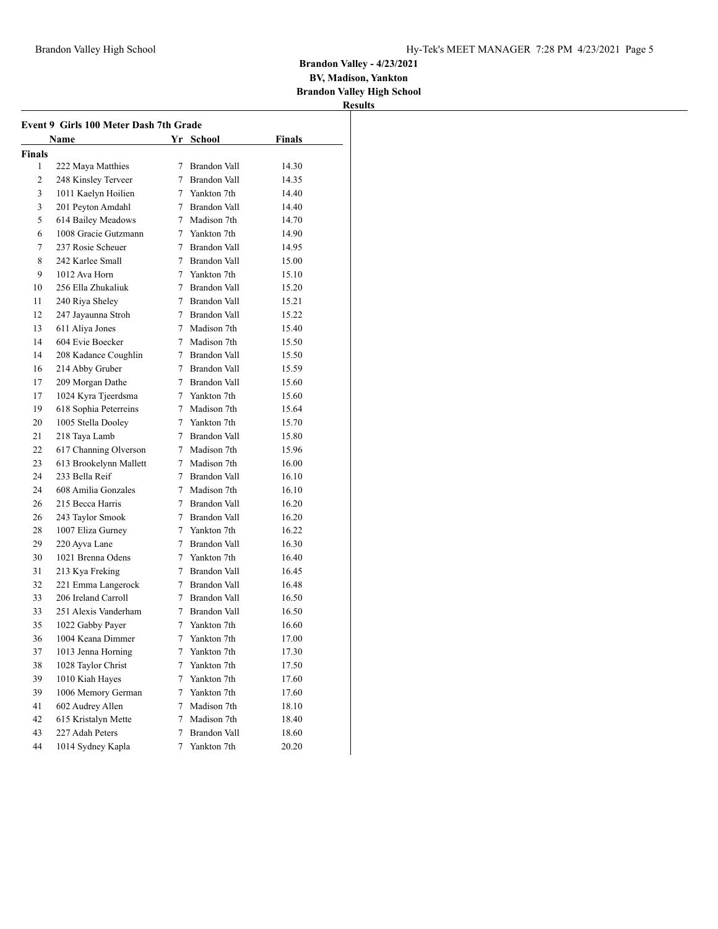**BV, Madison, Yankton**

**Brandon Valley High School Results**

|        | Name                   |   |                     |        |
|--------|------------------------|---|---------------------|--------|
|        |                        |   | Yr School           | Finals |
| Finals |                        |   |                     |        |
| 1      | 222 Maya Matthies      | 7 | Brandon Vall        | 14.30  |
| 2      | 248 Kinsley Terveer    |   | 7 Brandon Vall      | 14.35  |
| 3      | 1011 Kaelyn Hoilien    |   | 7 Yankton 7th       | 14.40  |
| 3      | 201 Peyton Amdahl      |   | 7 Brandon Vall      | 14.40  |
| 5      | 614 Bailey Meadows     |   | 7 Madison 7th       | 14.70  |
| 6      | 1008 Gracie Gutzmann   |   | 7 Yankton 7th       | 14.90  |
| 7      | 237 Rosie Scheuer      |   | 7 Brandon Vall      | 14.95  |
| 8      | 242 Karlee Small       |   | 7 Brandon Vall      | 15.00  |
| 9      | 1012 Ava Horn          |   | 7 Yankton 7th       | 15.10  |
| 10     | 256 Ella Zhukaliuk     |   | 7 Brandon Vall      | 15.20  |
| 11     | 240 Riya Sheley        |   | 7 Brandon Vall      | 15.21  |
| 12     | 247 Jayaunna Stroh     |   | 7 Brandon Vall      | 15.22  |
| 13     | 611 Aliya Jones        |   | 7 Madison 7th       | 15.40  |
| 14     | 604 Evie Boecker       |   | 7 Madison 7th       | 15.50  |
| 14     | 208 Kadance Coughlin   |   | 7 Brandon Vall      | 15.50  |
| 16     | 214 Abby Gruber        |   | 7 Brandon Vall      | 15.59  |
| 17     | 209 Morgan Dathe       |   | 7 Brandon Vall      | 15.60  |
| 17     | 1024 Kyra Tjeerdsma    |   | 7 Yankton 7th       | 15.60  |
| 19     | 618 Sophia Peterreins  |   | 7 Madison 7th       | 15.64  |
| 20     | 1005 Stella Dooley     |   | 7 Yankton 7th       | 15.70  |
| 21     | 218 Taya Lamb          |   | 7 Brandon Vall      | 15.80  |
| 22     | 617 Channing Olverson  |   | 7 Madison 7th       | 15.96  |
| 23     | 613 Brookelynn Mallett |   | 7 Madison 7th       | 16.00  |
| 24     | 233 Bella Reif         |   | 7 Brandon Vall      | 16.10  |
| 24     | 608 Amilia Gonzales    |   | 7 Madison 7th       | 16.10  |
| 26     | 215 Becca Harris       |   | 7 Brandon Vall      | 16.20  |
| 26     | 243 Taylor Smook       |   | 7 Brandon Vall      | 16.20  |
| 28     | 1007 Eliza Gurney      |   | 7 Yankton 7th       | 16.22  |
| 29     | 220 Ayva Lane          |   | 7 Brandon Vall      | 16.30  |
| 30     | 1021 Brenna Odens      |   | 7 Yankton 7th       | 16.40  |
| 31     | 213 Kya Freking        |   | 7 Brandon Vall      | 16.45  |
| 32     | 221 Emma Langerock     |   | 7 Brandon Vall      | 16.48  |
| 33     | 206 Ireland Carroll    |   | 7 Brandon Vall      | 16.50  |
| 33     | 251 Alexis Vanderham   |   | 7 Brandon Vall      | 16.50  |
| 35     | 1022 Gabby Payer       |   | 7 Yankton 7th       | 16.60  |
| 36     | 1004 Keana Dimmer      | 7 | Yankton 7th         | 17.00  |
| 37     | 1013 Jenna Horning     | 7 | Yankton 7th         | 17.30  |
| 38     | 1028 Taylor Christ     | 7 | Yankton 7th         | 17.50  |
| 39     | 1010 Kiah Hayes        | 7 | Yankton 7th         | 17.60  |
| 39     | 1006 Memory German     | 7 | Yankton 7th         | 17.60  |
| 41     | 602 Audrey Allen       | 7 | Madison 7th         | 18.10  |
| 42     | 615 Kristalyn Mette    | 7 | Madison 7th         | 18.40  |
| 43     | 227 Adah Peters        | 7 | <b>Brandon Vall</b> | 18.60  |
| 44     | 1014 Sydney Kapla      | 7 | Yankton 7th         | 20.20  |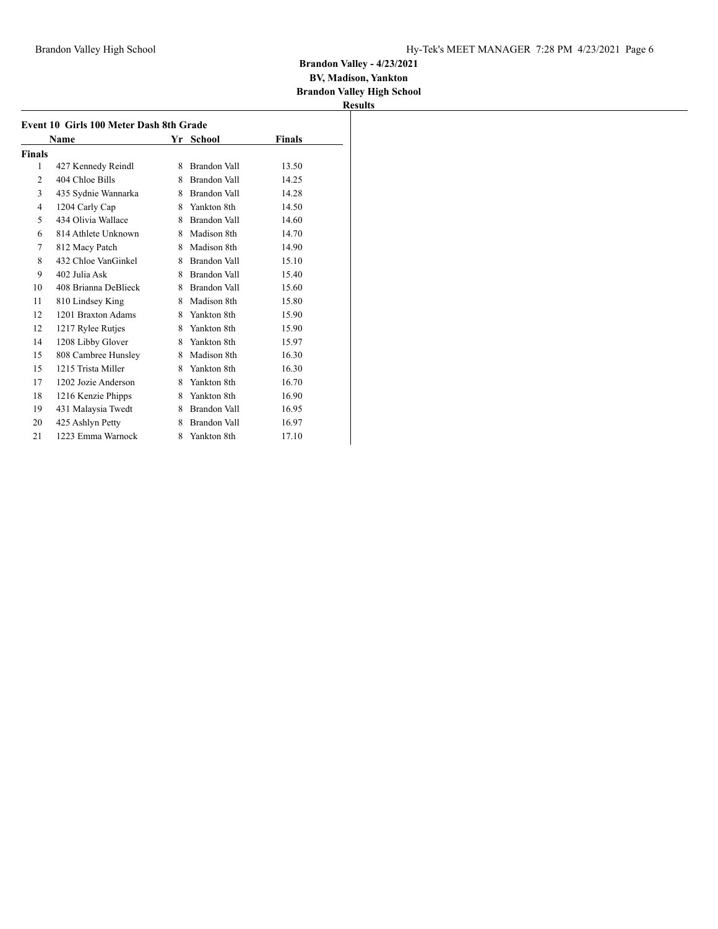**BV, Madison, Yankton Brandon Valley High School**

|        | Event 10 Girls 100 Meter Dash 8th Grade |   |                     |        |
|--------|-----------------------------------------|---|---------------------|--------|
|        | Name                                    |   | Yr School           | Finals |
| Finals |                                         |   |                     |        |
| 1      | 427 Kennedy Reindl                      | 8 | Brandon Vall        | 13.50  |
| 2      | 404 Chloe Bills                         | 8 | Brandon Vall        | 14.25  |
| 3      | 435 Sydnie Wannarka                     | 8 | Brandon Vall        | 14.28  |
| 4      | 1204 Carly Cap                          | 8 | Yankton 8th         | 14.50  |
| 5      | 434 Olivia Wallace                      | 8 | Brandon Vall        | 14.60  |
| 6      | 814 Athlete Unknown                     | 8 | Madison 8th         | 14.70  |
| 7      | 812 Macy Patch                          | 8 | Madison 8th         | 14.90  |
| 8      | 432 Chloe VanGinkel                     | 8 | Brandon Vall        | 15.10  |
| 9      | 402 Julia Ask                           | 8 | Brandon Vall        | 15.40  |
| 10     | 408 Brianna DeBlieck                    | 8 | <b>Brandon Vall</b> | 15.60  |
| 11     | 810 Lindsey King                        | 8 | Madison 8th         | 15.80  |
| 12     | 1201 Braxton Adams                      | 8 | Yankton 8th         | 15.90  |
| 12     | 1217 Rylee Rutjes                       | 8 | Yankton 8th         | 15.90  |
| 14     | 1208 Libby Glover                       | 8 | Yankton 8th         | 15.97  |
| 15     | 808 Cambree Hunsley                     | 8 | Madison 8th         | 16.30  |
| 15     | 1215 Trista Miller                      | 8 | Yankton 8th         | 16.30  |
| 17     | 1202 Jozie Anderson                     | 8 | Yankton 8th         | 16.70  |
| 18     | 1216 Kenzie Phipps                      | 8 | Yankton 8th         | 16.90  |
| 19     | 431 Malaysia Twedt                      | 8 | Brandon Vall        | 16.95  |
| 20     | 425 Ashlyn Petty                        | 8 | <b>Brandon Vall</b> | 16.97  |
| 21     | 1223 Emma Warnock                       | 8 | Yankton 8th         | 17.10  |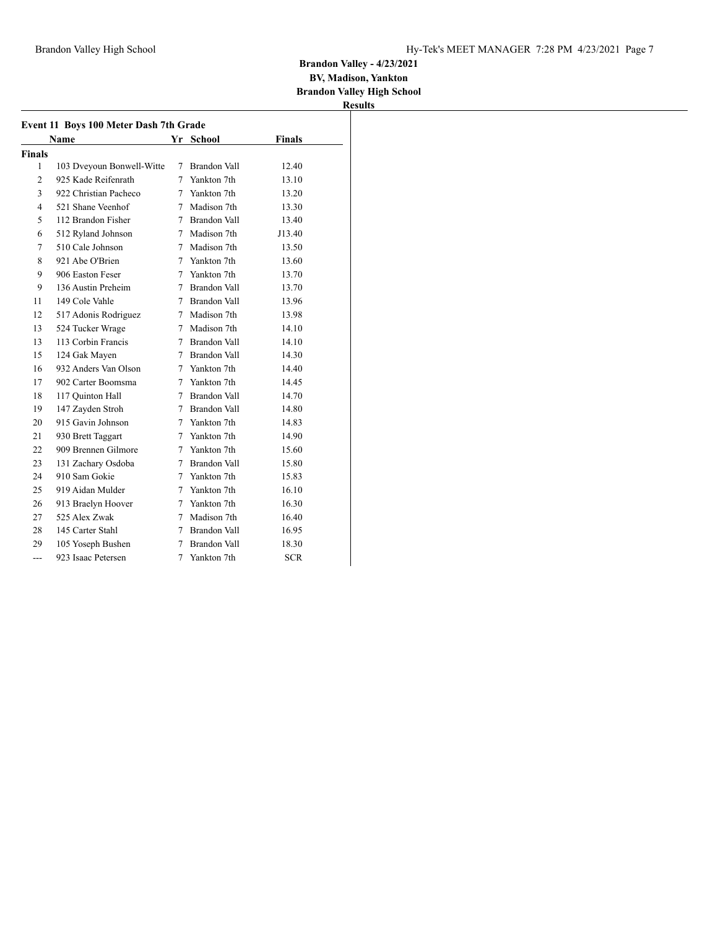**BV, Madison, Yankton Brandon Valley High School**

|                | Event 11 Boys 100 Meter Dash 7th Grade |   |                |               |
|----------------|----------------------------------------|---|----------------|---------------|
|                | Name                                   |   | Yr School      | <b>Finals</b> |
| Finals         |                                        |   |                |               |
| 1              | 103 Dveyoun Bonwell-Witte              | 7 | Brandon Vall   | 12.40         |
| $\overline{c}$ | 925 Kade Reifenrath                    | 7 | Yankton 7th    | 13.10         |
| 3              | 922 Christian Pacheco                  |   | 7 Yankton 7th  | 13.20         |
| 4              | 521 Shane Veenhof                      |   | 7 Madison 7th  | 13.30         |
| 5              | 112 Brandon Fisher                     |   | 7 Brandon Vall | 13.40         |
| 6              | 512 Ryland Johnson                     |   | 7 Madison 7th  | J13.40        |
| 7              | 510 Cale Johnson                       | 7 | Madison 7th    | 13.50         |
| 8              | 921 Abe O'Brien                        |   | 7 Yankton 7th  | 13.60         |
| 9              | 906 Easton Feser                       |   | 7 Yankton 7th  | 13.70         |
| 9              | 136 Austin Preheim                     |   | 7 Brandon Vall | 13.70         |
| 11             | 149 Cole Vahle                         |   | 7 Brandon Vall | 13.96         |
| 12             | 517 Adonis Rodriguez                   |   | 7 Madison 7th  | 13.98         |
| 13             | 524 Tucker Wrage                       |   | 7 Madison 7th  | 14.10         |
| 13             | 113 Corbin Francis                     |   | 7 Brandon Vall | 14.10         |
| 15             | 124 Gak Mayen                          |   | 7 Brandon Vall | 14.30         |
| 16             | 932 Anders Van Olson                   |   | 7 Yankton 7th  | 14.40         |
| 17             | 902 Carter Boomsma                     |   | 7 Yankton 7th  | 14.45         |
| 18             | 117 Quinton Hall                       |   | 7 Brandon Vall | 14.70         |
| 19             | 147 Zayden Stroh                       |   | 7 Brandon Vall | 14.80         |
| 20             | 915 Gavin Johnson                      |   | 7 Yankton 7th  | 14.83         |
| 21             | 930 Brett Taggart                      |   | 7 Yankton 7th  | 14.90         |
| 22             | 909 Brennen Gilmore                    |   | 7 Yankton 7th  | 15.60         |
| 23             | 131 Zachary Osdoba                     |   | 7 Brandon Vall | 15.80         |
| 24             | 910 Sam Gokie                          |   | 7 Yankton 7th  | 15.83         |
| 25             | 919 Aidan Mulder                       |   | 7 Yankton 7th  | 16.10         |
| 26             | 913 Braelyn Hoover                     |   | 7 Yankton 7th  | 16.30         |
| 27             | 525 Alex Zwak                          |   | 7 Madison 7th  | 16.40         |
| 28             | 145 Carter Stahl                       |   | 7 Brandon Vall | 16.95         |
| 29             | 105 Yoseph Bushen                      |   | 7 Brandon Vall | 18.30         |
| $---$          | 923 Isaac Petersen                     | 7 | Yankton 7th    | <b>SCR</b>    |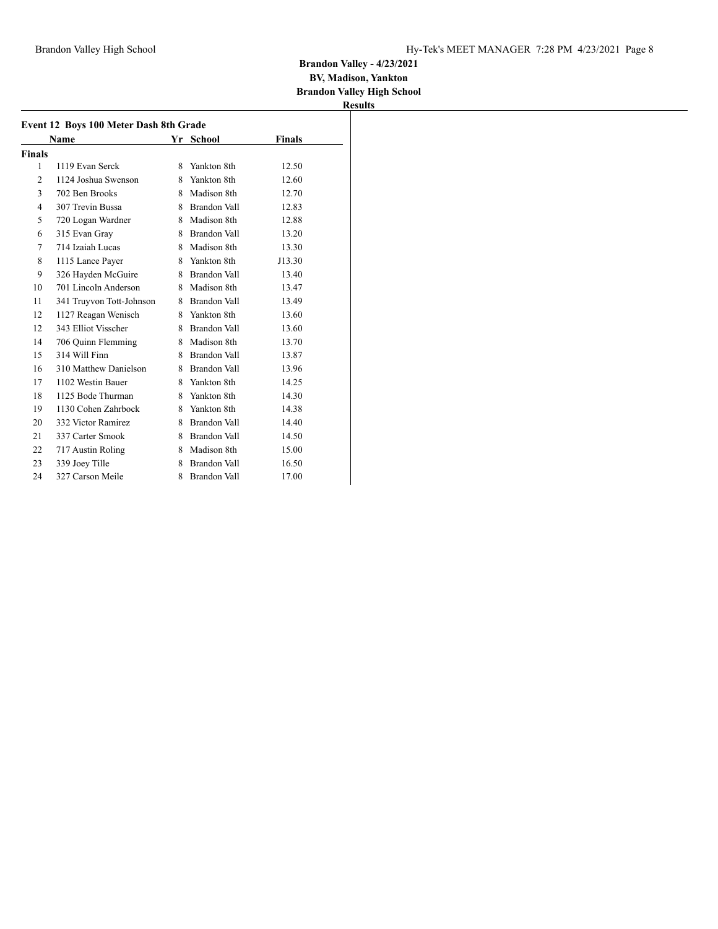**BV, Madison, Yankton Brandon Valley High School**

|                | Name                     |    | Yr School           | Finals |
|----------------|--------------------------|----|---------------------|--------|
| <b>Finals</b>  |                          |    |                     |        |
| 1              | 1119 Evan Serck          | 8  | Yankton 8th         | 12.50  |
| $\overline{2}$ | 1124 Joshua Swenson      | 8. | Yankton 8th         | 12.60  |
| 3              | 702 Ben Brooks           | 8  | Madison 8th         | 12.70  |
| 4              | 307 Trevin Bussa         |    | 8 Brandon Vall      | 12.83  |
| 5              | 720 Logan Wardner        |    | 8 Madison 8th       | 12.88  |
| 6              | 315 Evan Gray            |    | 8 Brandon Vall      | 13.20  |
| 7              | 714 Izaiah Lucas         |    | 8 Madison 8th       | 13.30  |
| 8              | 1115 Lance Payer         |    | 8 Yankton 8th       | J13.30 |
| 9              | 326 Hayden McGuire       |    | 8 Brandon Vall      | 13.40  |
| 10             | 701 Lincoln Anderson     |    | 8 Madison 8th       | 13.47  |
| 11             | 341 Truyvon Tott-Johnson |    | 8 Brandon Vall      | 13.49  |
| 12             | 1127 Reagan Wenisch      |    | 8 Yankton 8th       | 13.60  |
| 12             | 343 Elliot Visscher      | 8. | Brandon Vall        | 13.60  |
| 14             | 706 Quinn Flemming       |    | 8 Madison 8th       | 13.70  |
| 15             | 314 Will Finn            | 8. | Brandon Vall        | 13.87  |
| 16             | 310 Matthew Danielson    |    | 8 Brandon Vall      | 13.96  |
| 17             | 1102 Westin Bauer        |    | 8 Yankton 8th       | 14.25  |
| 18             | 1125 Bode Thurman        |    | 8 Yankton 8th       | 14.30  |
| 19             | 1130 Cohen Zahrbock      |    | 8 Yankton 8th       | 14.38  |
| 20             | 332 Victor Ramirez       |    | 8 Brandon Vall      | 14.40  |
| 21             | 337 Carter Smook         |    | 8 Brandon Vall      | 14.50  |
| 22             | 717 Austin Roling        | 8  | Madison 8th         | 15.00  |
| 23             | 339 Joey Tille           | 8  | <b>Brandon Vall</b> | 16.50  |
| 24             | 327 Carson Meile         | 8  | Brandon Vall        | 17.00  |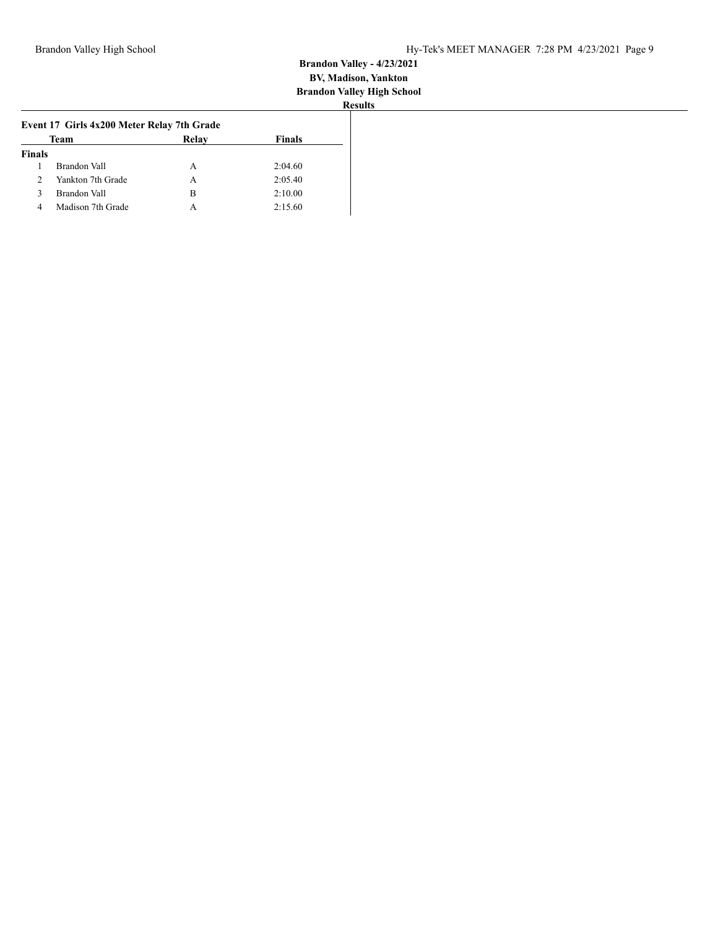|               | Team              | Relay | <b>Finals</b> |  |
|---------------|-------------------|-------|---------------|--|
| <b>Finals</b> |                   |       |               |  |
|               | Brandon Vall      | А     | 2:04.60       |  |
| 2             | Yankton 7th Grade | А     | 2:05.40       |  |
| 3             | Brandon Vall      | в     | 2:10.00       |  |
| 4             | Madison 7th Grade |       | 2:15.60       |  |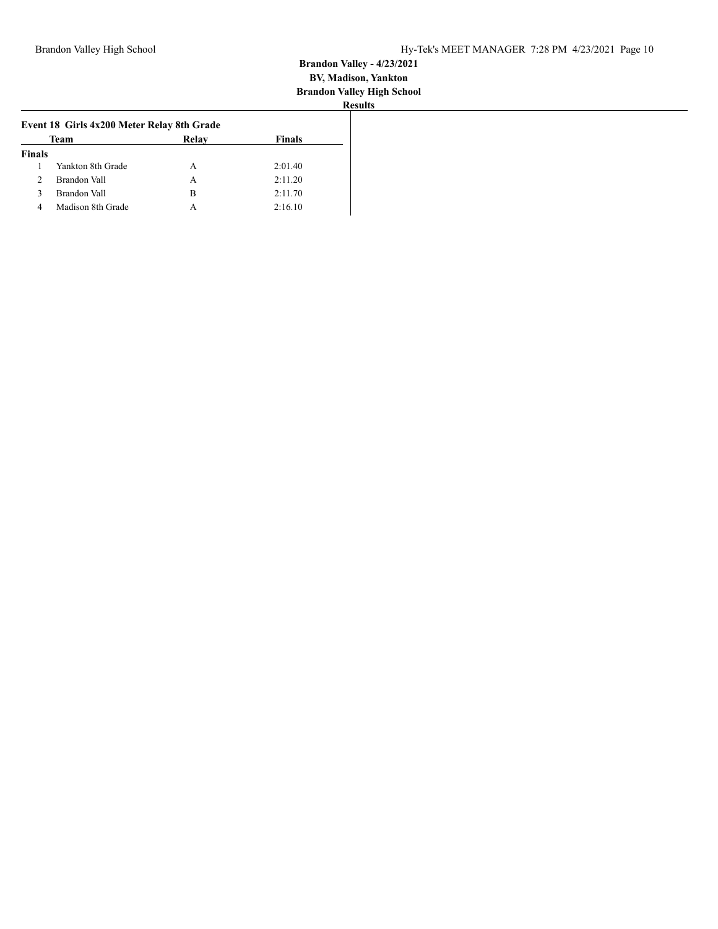|               | Team              | Relay | <b>Finals</b> |
|---------------|-------------------|-------|---------------|
| <b>Finals</b> |                   |       |               |
|               | Yankton 8th Grade | А     | 2:01.40       |
| 2             | Brandon Vall      | А     | 2:11.20       |
| 3             | Brandon Vall      | в     | 2:11.70       |
| 4             | Madison 8th Grade | А     | 2:16.10       |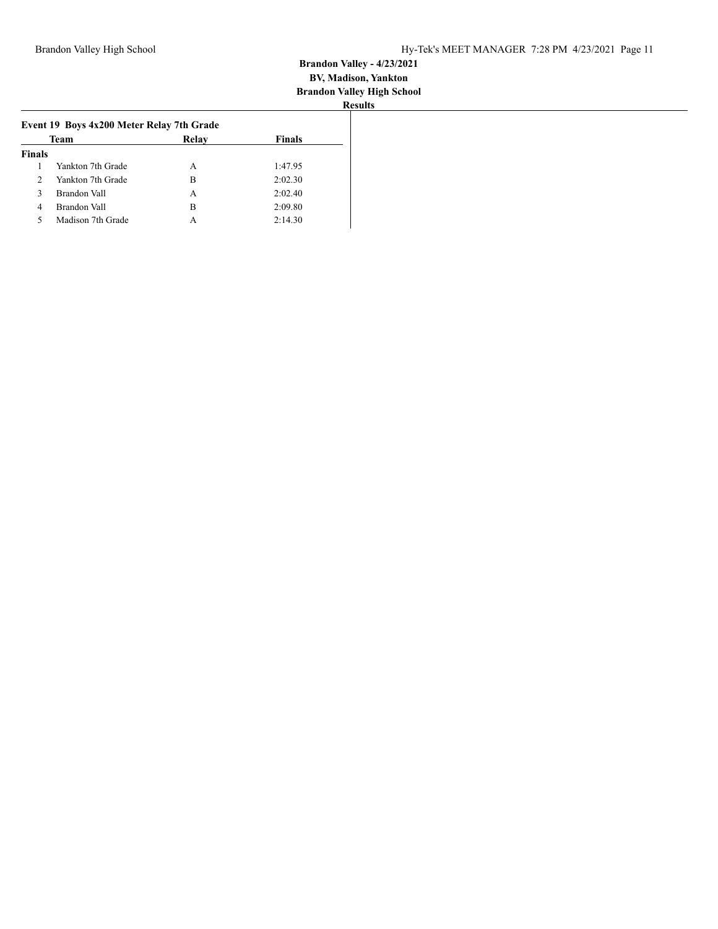|               | Team              | Relay | Finals  |  |
|---------------|-------------------|-------|---------|--|
| <b>Finals</b> |                   |       |         |  |
|               | Yankton 7th Grade | А     | 1:47.95 |  |
| $\mathcal{D}$ | Yankton 7th Grade | в     | 2:02.30 |  |
| 3             | Brandon Vall      | A     | 2:02.40 |  |
| 4             | Brandon Vall      | в     | 2:09.80 |  |
| 5             | Madison 7th Grade | А     | 2:14.30 |  |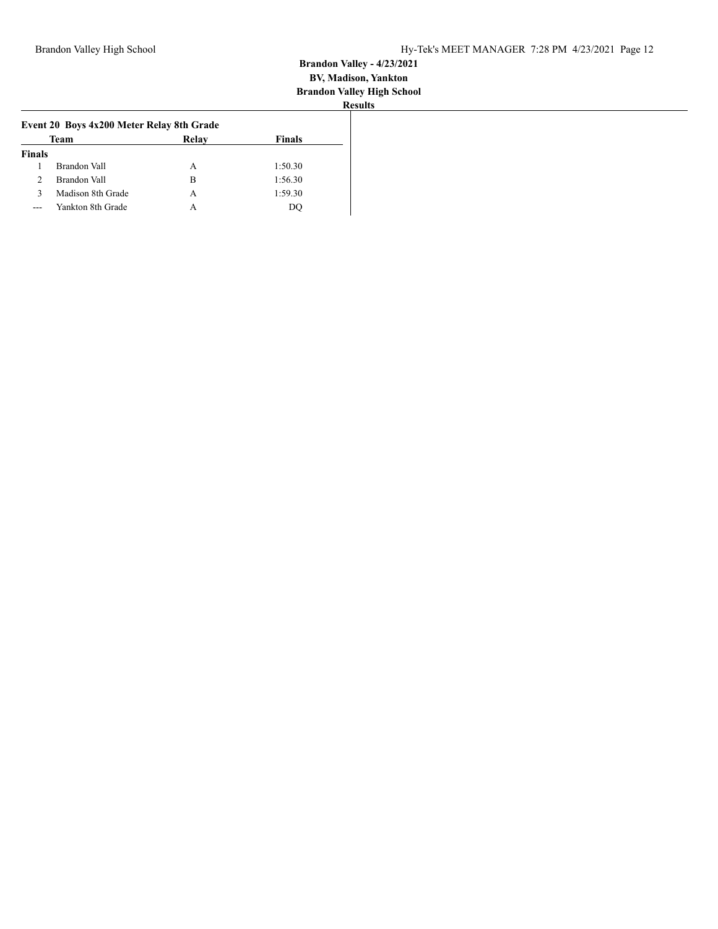|               | Team              | Relay | <b>Finals</b> |
|---------------|-------------------|-------|---------------|
| <b>Finals</b> |                   |       |               |
|               | Brandon Vall      | А     | 1:50.30       |
| $\mathcal{P}$ | Brandon Vall      | в     | 1:56.30       |
| ٦             | Madison 8th Grade | А     | 1:59.30       |
|               | Yankton 8th Grade | А     | DC            |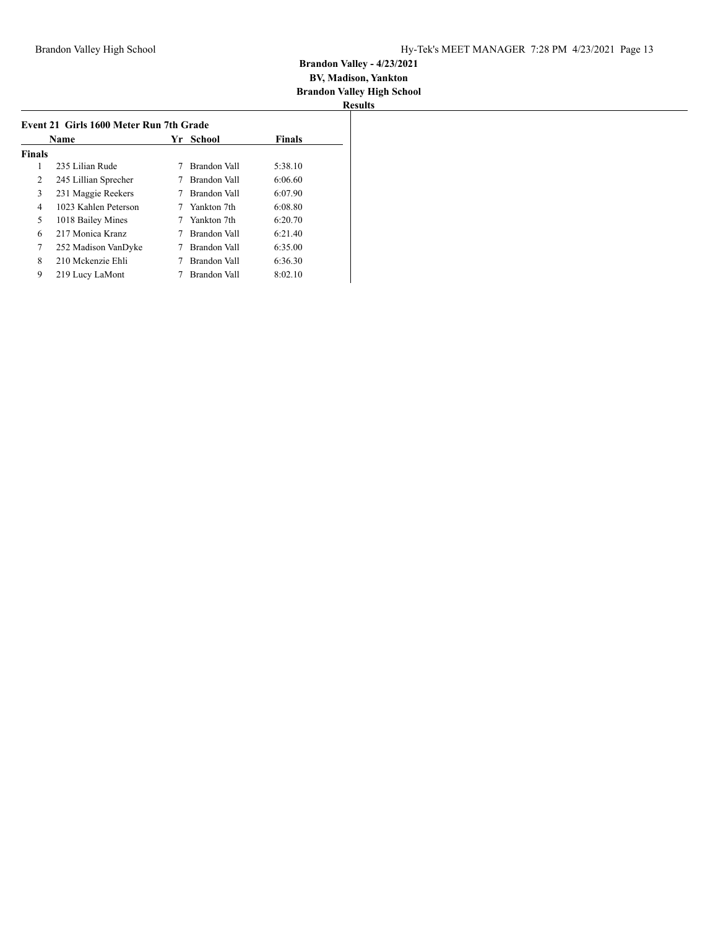| Name          |                      | Yr | School       | <b>Finals</b> |
|---------------|----------------------|----|--------------|---------------|
| <b>Finals</b> |                      |    |              |               |
|               | 235 Lilian Rude      |    | Brandon Vall | 5:38.10       |
| 2             | 245 Lillian Sprecher |    | Brandon Vall | 6:06.60       |
| 3             | 231 Maggie Reekers   |    | Brandon Vall | 6:07.90       |
| 4             | 1023 Kahlen Peterson |    | Yankton 7th  | 6:08.80       |
| 5             | 1018 Bailey Mines    |    | Yankton 7th  | 6:20.70       |
| 6             | 217 Monica Kranz     |    | Brandon Vall | 6:21.40       |
| 7             | 252 Madison VanDyke  |    | Brandon Vall | 6:35.00       |
| 8             | 210 Mckenzie Ehli    |    | Brandon Vall | 6:36.30       |
| 9             | 219 Lucy LaMont      |    | Brandon Vall | 8:02.10       |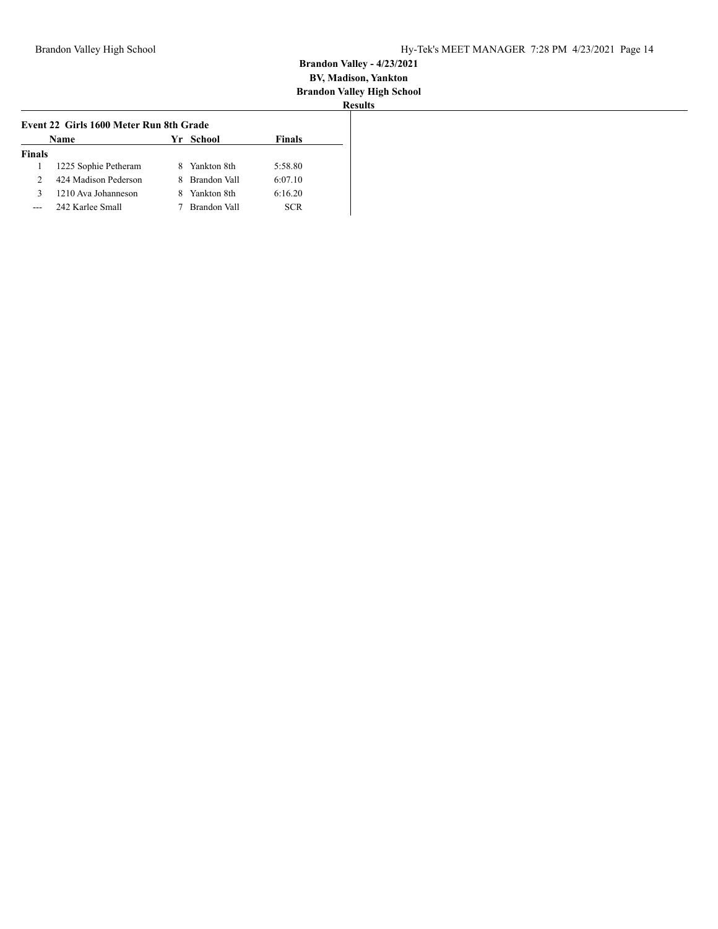| <b>Name</b><br>Yr School<br>Finals |                      |    |              |            |  |
|------------------------------------|----------------------|----|--------------|------------|--|
| <b>Finals</b>                      |                      |    |              |            |  |
|                                    | 1225 Sophie Petheram |    | Yankton 8th  | 5:58.80    |  |
| $\mathcal{D}$                      | 424 Madison Pederson | 8. | Brandon Vall | 6:07.10    |  |
| 3                                  | 1210 Ava Johanneson  |    | Yankton 8th  | 6:16.20    |  |
|                                    | 242 Karlee Small     |    | Brandon Vall | <b>SCR</b> |  |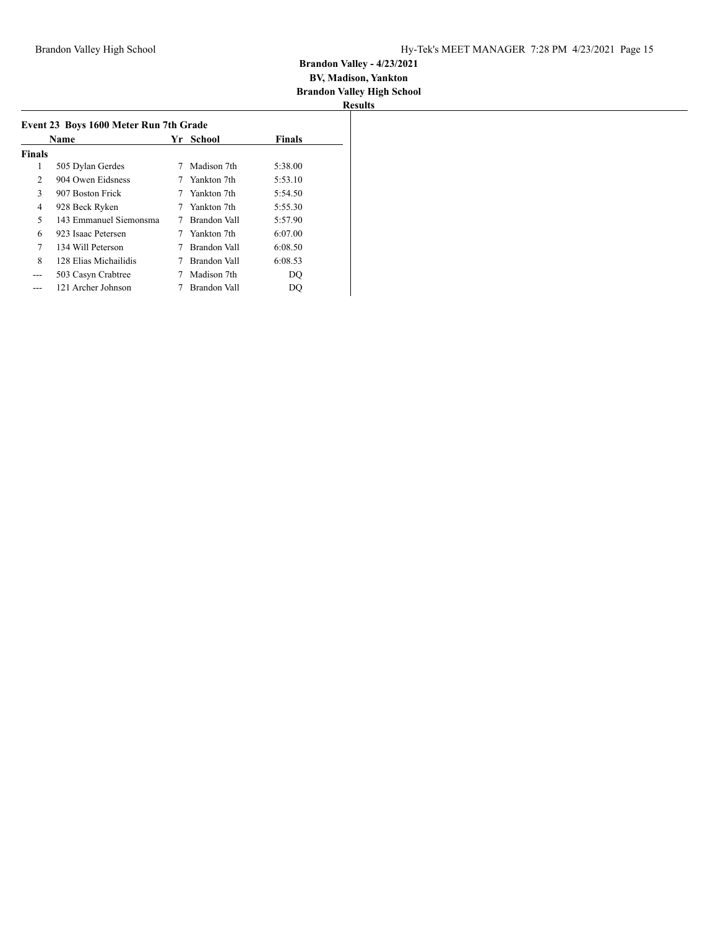| Event 23 Boys 1600 Meter Run 7th Grade |                        |  |              |               |  |  |
|----------------------------------------|------------------------|--|--------------|---------------|--|--|
| Name                                   |                        |  | Yr School    | <b>Finals</b> |  |  |
| <b>Finals</b>                          |                        |  |              |               |  |  |
| 1                                      | 505 Dylan Gerdes       |  | Madison 7th  | 5:38.00       |  |  |
| $\overline{2}$                         | 904 Owen Eidsness      |  | Yankton 7th  | 5:53.10       |  |  |
| 3                                      | 907 Boston Frick       |  | Yankton 7th  | 5:54.50       |  |  |
| 4                                      | 928 Beck Ryken         |  | Yankton 7th  | 5:55.30       |  |  |
| 5                                      | 143 Emmanuel Siemonsma |  | Brandon Vall | 5:57.90       |  |  |
| 6                                      | 923 Isaac Petersen     |  | Yankton 7th  | 6:07.00       |  |  |
| 7                                      | 134 Will Peterson      |  | Brandon Vall | 6:08.50       |  |  |
| 8                                      | 128 Elias Michailidis  |  | Brandon Vall | 6:08.53       |  |  |
| ---                                    | 503 Casyn Crabtree     |  | Madison 7th  | DO            |  |  |
|                                        | 121 Archer Johnson     |  | Brandon Vall | DO            |  |  |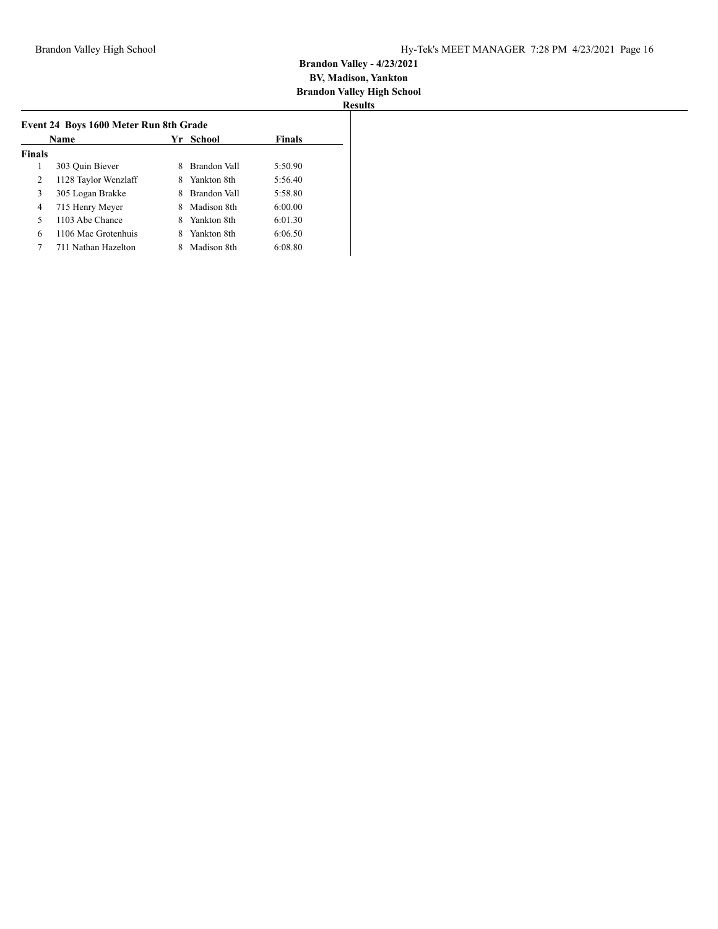| Name          |                      | School<br>Yr |              | <b>Finals</b> |  |
|---------------|----------------------|--------------|--------------|---------------|--|
| <b>Finals</b> |                      |              |              |               |  |
| 1             | 303 Quin Biever      | 8            | Brandon Vall | 5:50.90       |  |
| 2             | 1128 Taylor Wenzlaff | 8            | Yankton 8th  | 5:56.40       |  |
| 3             | 305 Logan Brakke     | 8            | Brandon Vall | 5:58.80       |  |
| 4             | 715 Henry Meyer      | 8            | Madison 8th  | 6:00.00       |  |
| 5             | 1103 Abe Chance      | 8            | Yankton 8th  | 6:01.30       |  |
| 6             | 1106 Mac Grotenhuis  | 8            | Yankton 8th  | 6:06.50       |  |
| 7             | 711 Nathan Hazelton  |              | Madison 8th  | 6:08.80       |  |
|               |                      |              |              |               |  |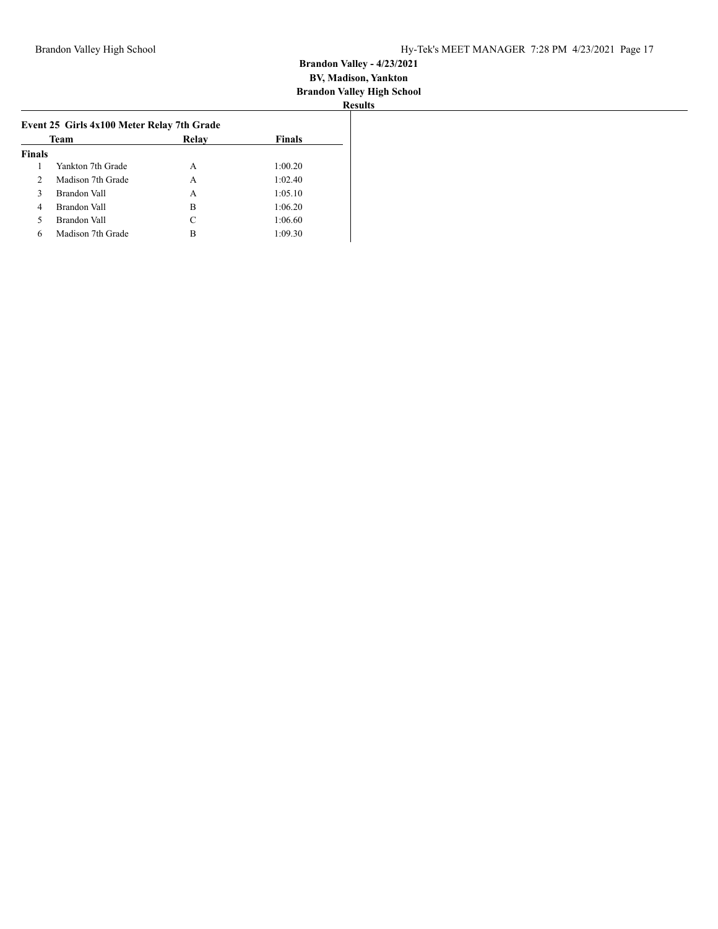| Team          |                   | Relay | <b>Finals</b> |
|---------------|-------------------|-------|---------------|
| <b>Finals</b> |                   |       |               |
|               | Yankton 7th Grade | A     | 1:00.20       |
| 2             | Madison 7th Grade | A     | 1:02.40       |
| 3             | Brandon Vall      | A     | 1:05.10       |
| 4             | Brandon Vall      | B     | 1:06.20       |
| 5             | Brandon Vall      | C     | 1:06.60       |
| 6             | Madison 7th Grade | В     | 1:09.30       |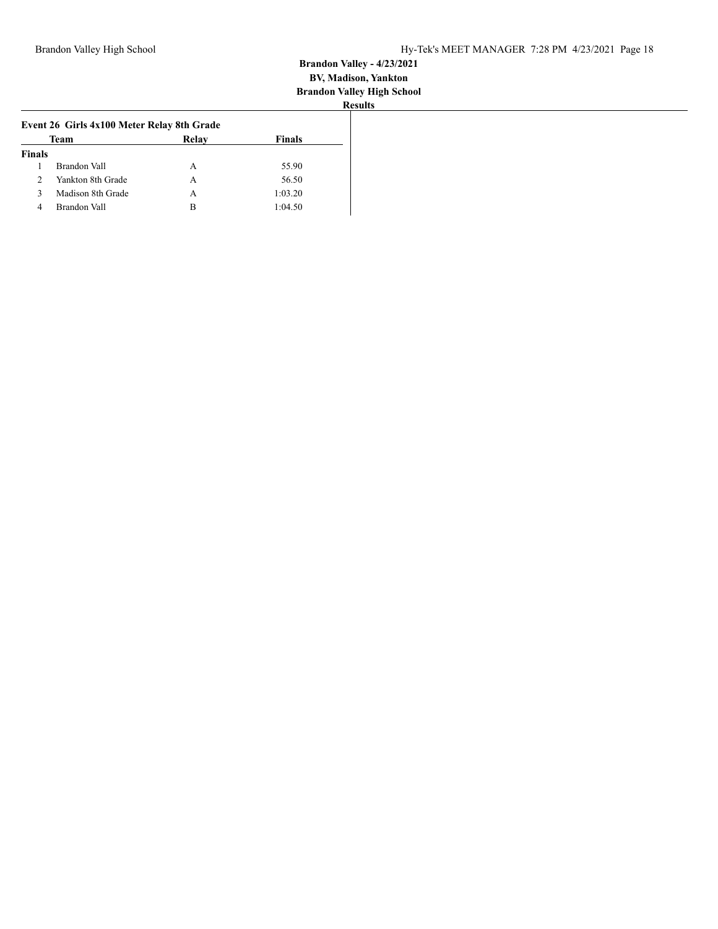|               | Team              | Relay | <b>Finals</b> |
|---------------|-------------------|-------|---------------|
| <b>Finals</b> |                   |       |               |
|               | Brandon Vall      | A     | 55.90         |
| $\mathcal{L}$ | Yankton 8th Grade | А     | 56.50         |
| ٩             | Madison 8th Grade | А     | 1:03.20       |
| 4             | Brandon Vall      | в     | 1:04.50       |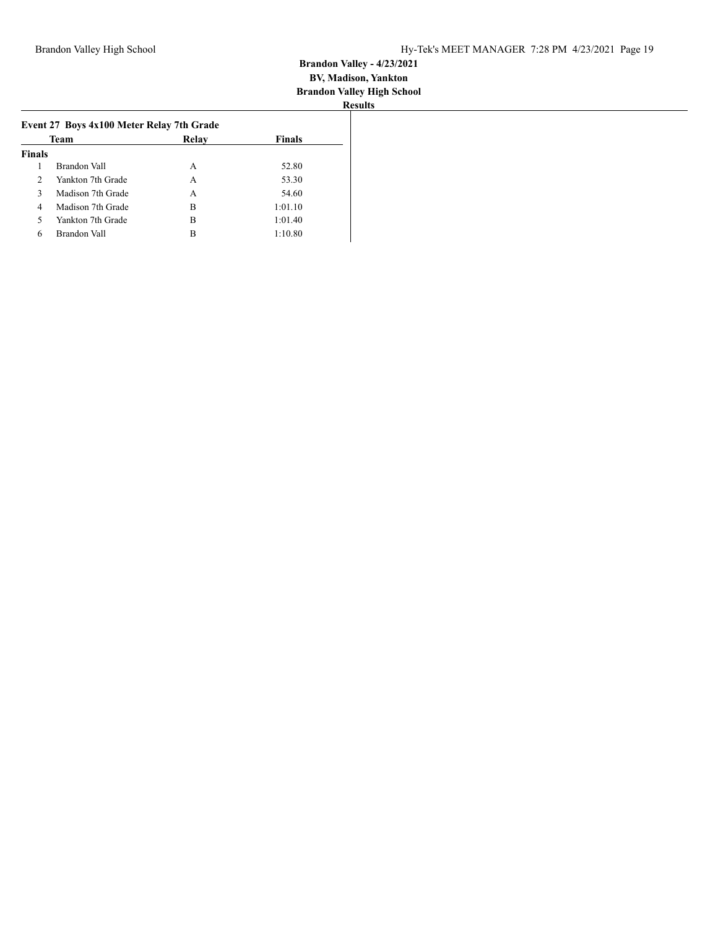|                | Team              | Relav | <b>Finals</b> |
|----------------|-------------------|-------|---------------|
| <b>Finals</b>  |                   |       |               |
| 1              | Brandon Vall      | A     | 52.80         |
| $\mathfrak{D}$ | Yankton 7th Grade | А     | 53.30         |
| 3              | Madison 7th Grade | А     | 54.60         |
| $\overline{4}$ | Madison 7th Grade | в     | 1:01.10       |
| 5              | Yankton 7th Grade | в     | 1:01.40       |
| 6              | Brandon Vall      | в     | 1:10.80       |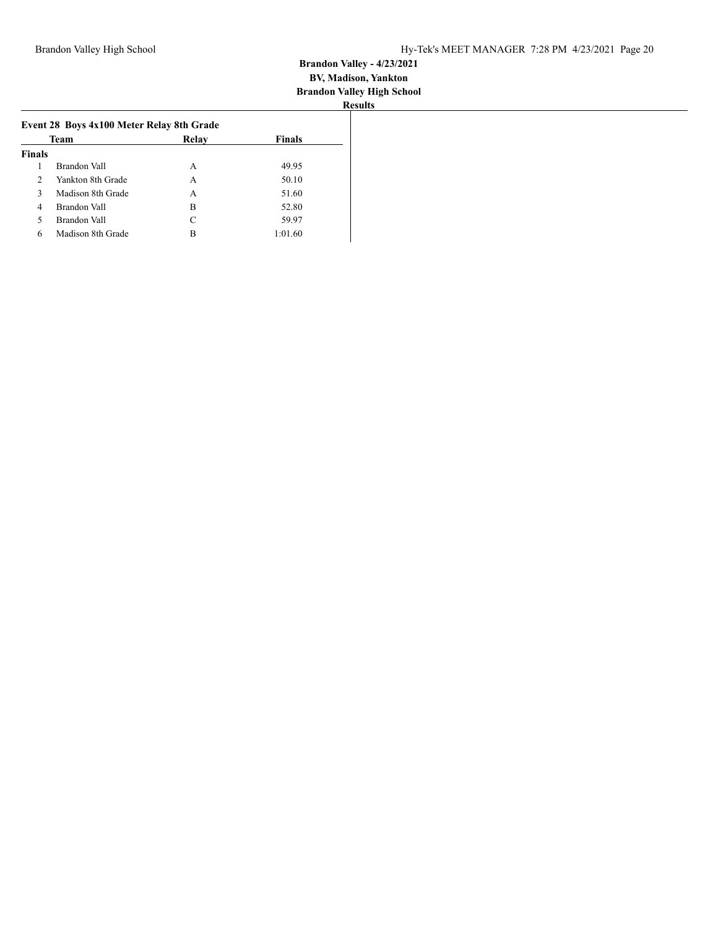| Team          |                   | Relay | <b>Finals</b> |
|---------------|-------------------|-------|---------------|
| <b>Finals</b> |                   |       |               |
|               | Brandon Vall      | А     | 49.95         |
| $\mathcal{L}$ | Yankton 8th Grade | A     | 50.10         |
| 3             | Madison 8th Grade | А     | 51.60         |
| 4             | Brandon Vall      | B     | 52.80         |
| 5             | Brandon Vall      | C     | 59.97         |
| 6             | Madison 8th Grade | в     | 1:01.60       |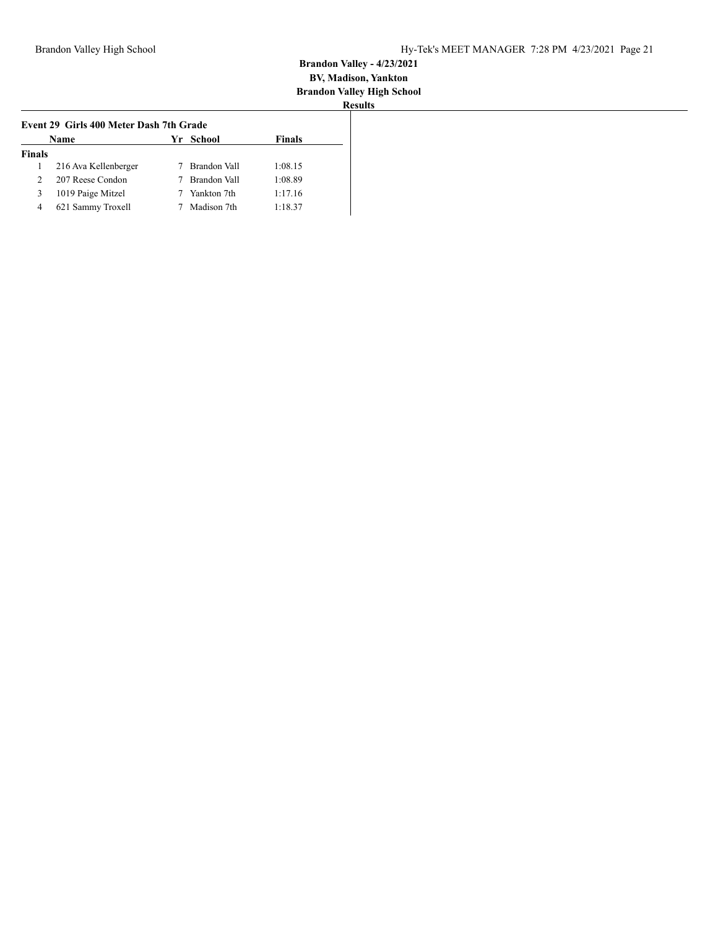| <b>Finals</b><br>Yr School<br>Name |                      |  |              |         |
|------------------------------------|----------------------|--|--------------|---------|
| <b>Finals</b>                      |                      |  |              |         |
|                                    | 216 Ava Kellenberger |  | Brandon Vall | 1:08.15 |
| $\mathcal{D}$                      | 207 Reese Condon     |  | Brandon Vall | 1:08.89 |
| 3                                  | 1019 Paige Mitzel    |  | Yankton 7th  | 1:17.16 |
| 4                                  | 621 Sammy Troxell    |  | Madison 7th  | 1:18.37 |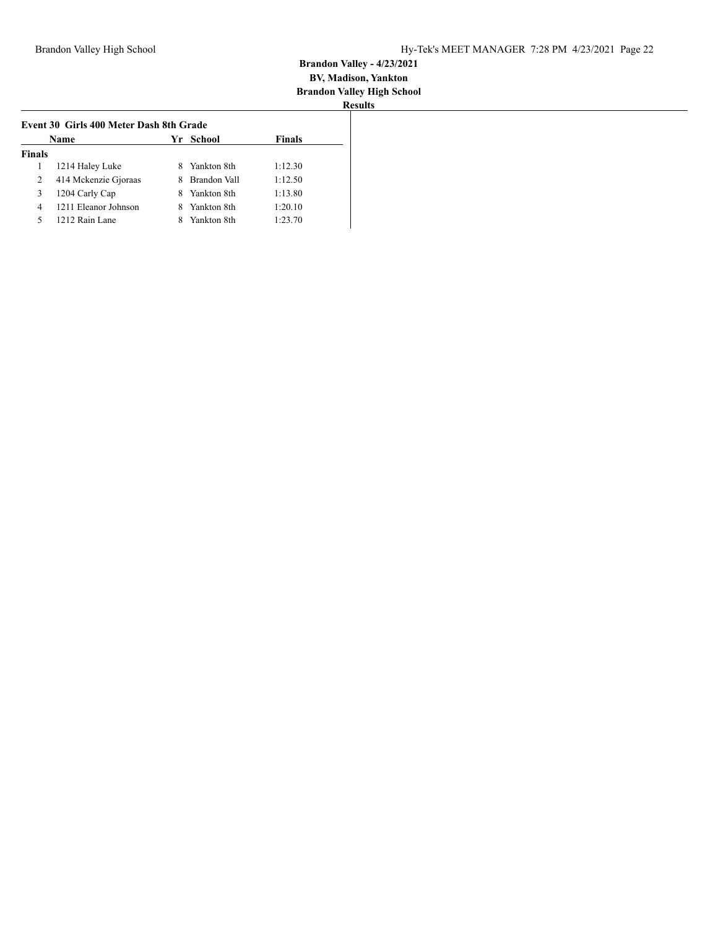| Name          |                      |   | Yr School    | <b>Finals</b> |
|---------------|----------------------|---|--------------|---------------|
| <b>Finals</b> |                      |   |              |               |
|               | 1214 Haley Luke      |   | Yankton 8th  | 1:12.30       |
| 2             | 414 Mckenzie Gjoraas | 8 | Brandon Vall | 1:12.50       |
| 3             | 1204 Carly Cap       | 8 | Yankton 8th  | 1:13.80       |
| 4             | 1211 Eleanor Johnson |   | Yankton 8th  | 1:20.10       |
| 5             | 1212 Rain Lane       |   | Yankton 8th  | 1:23.70       |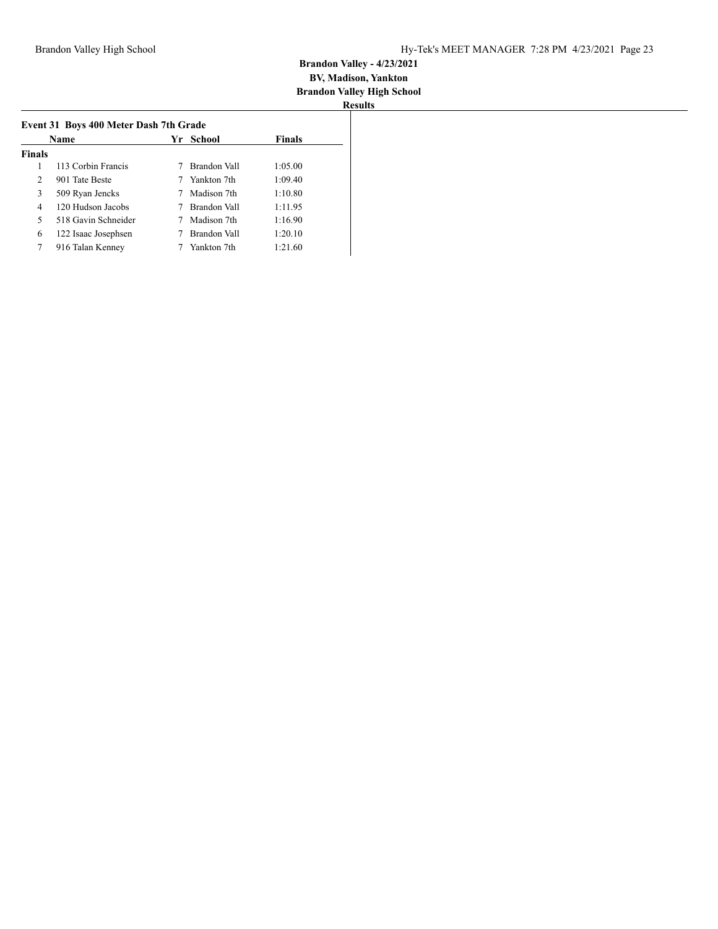|                | Name                | Yr School    | <b>Finals</b> |
|----------------|---------------------|--------------|---------------|
| <b>Finals</b>  |                     |              |               |
| 1              | 113 Corbin Francis  | Brandon Vall | 1:05.00       |
| $\overline{2}$ | 901 Tate Beste      | Yankton 7th  | 1:09.40       |
| 3              | 509 Ryan Jencks     | Madison 7th  | 1:10.80       |
| 4              | 120 Hudson Jacobs   | Brandon Vall | 1:11.95       |
| 5              | 518 Gavin Schneider | Madison 7th  | 1:16.90       |
| 6              | 122 Isaac Josephsen | Brandon Vall | 1:20.10       |
| 7              | 916 Talan Kenney    | Yankton 7th  | 1:21.60       |
|                |                     |              |               |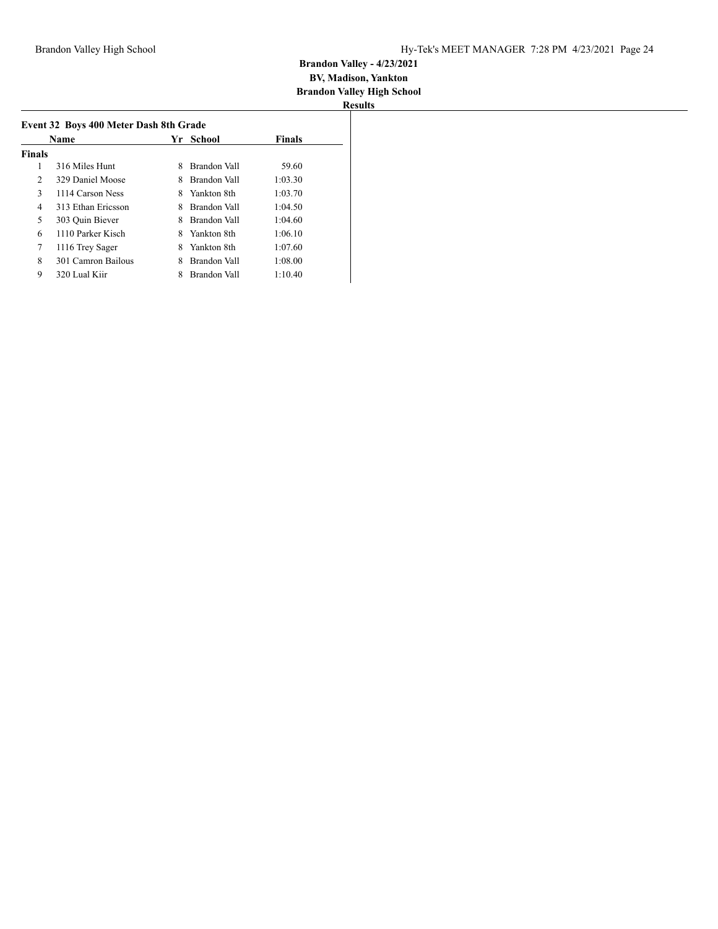|               | Name               |   | School<br>Yr. |         |
|---------------|--------------------|---|---------------|---------|
| <b>Finals</b> |                    |   |               |         |
| 1             | 316 Miles Hunt     | 8 | Brandon Vall  | 59.60   |
| 2             | 329 Daniel Moose   | 8 | Brandon Vall  | 1:03.30 |
| 3             | 1114 Carson Ness   | 8 | Yankton 8th   | 1:03.70 |
| 4             | 313 Ethan Ericsson | 8 | Brandon Vall  | 1:04.50 |
| 5             | 303 Ouin Biever    | 8 | Brandon Vall  | 1:04.60 |
| 6             | 1110 Parker Kisch  | 8 | Yankton 8th   | 1:06.10 |
| 7             | 1116 Trey Sager    | 8 | Yankton 8th   | 1:07.60 |
| 8             | 301 Camron Bailous | 8 | Brandon Vall  | 1:08.00 |
| 9             | 320 Lual Kiir      |   | Brandon Vall  | 1:10.40 |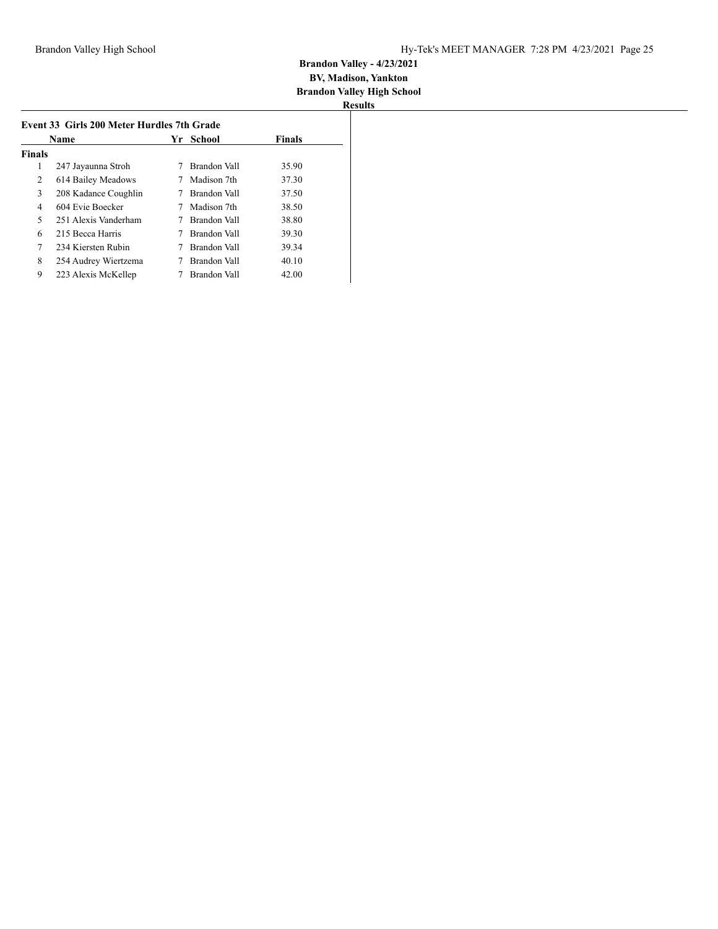|               | <b>Name</b>          | Yr. | School       | <b>Finals</b> |
|---------------|----------------------|-----|--------------|---------------|
| <b>Finals</b> |                      |     |              |               |
| 1             | 247 Jayaunna Stroh   |     | Brandon Vall | 35.90         |
| 2             | 614 Bailey Meadows   |     | Madison 7th  | 37.30         |
| 3             | 208 Kadance Coughlin |     | Brandon Vall | 37.50         |
| 4             | 604 Evie Boecker     |     | Madison 7th  | 38.50         |
| 5             | 251 Alexis Vanderham |     | Brandon Vall | 38.80         |
| 6             | 215 Becca Harris     |     | Brandon Vall | 39.30         |
| 7             | 234 Kiersten Rubin   |     | Brandon Vall | 39.34         |
| 8             | 254 Audrey Wiertzema |     | Brandon Vall | 40.10         |
| 9             | 223 Alexis McKellep  |     | Brandon Vall | 42.00         |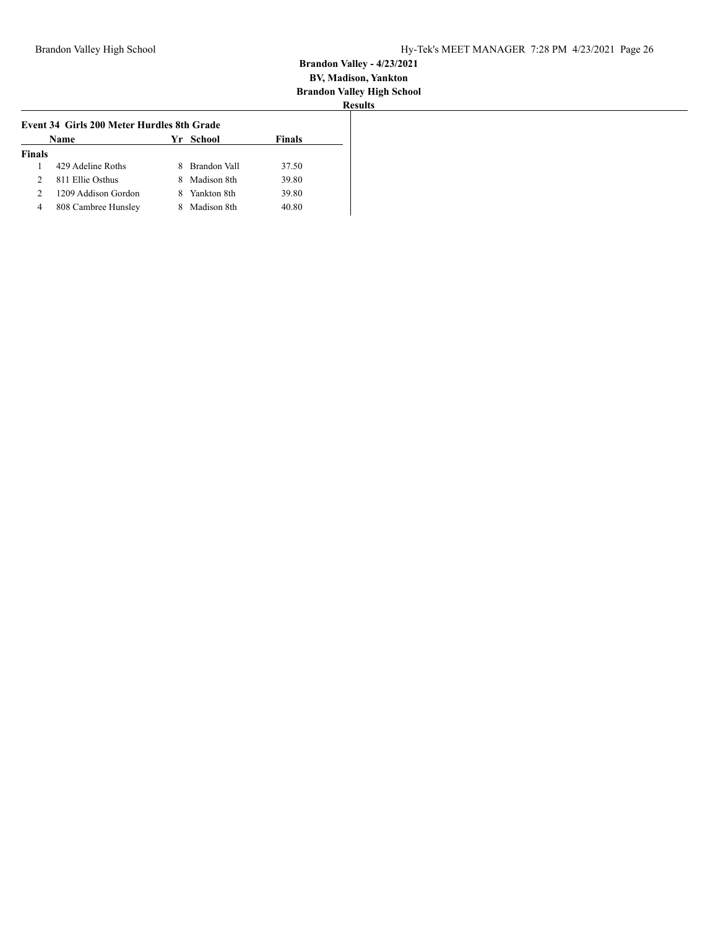| <b>Name</b>   | <b>Finals</b>       |   |              |       |
|---------------|---------------------|---|--------------|-------|
| <b>Finals</b> |                     |   |              |       |
|               | 429 Adeline Roths   | 8 | Brandon Vall | 37.50 |
| 2             | 811 Ellie Osthus    | 8 | Madison 8th  | 39.80 |
| 2             | 1209 Addison Gordon | 8 | Yankton 8th  | 39.80 |
| 4             | 808 Cambree Hunsley |   | Madison 8th  | 40.80 |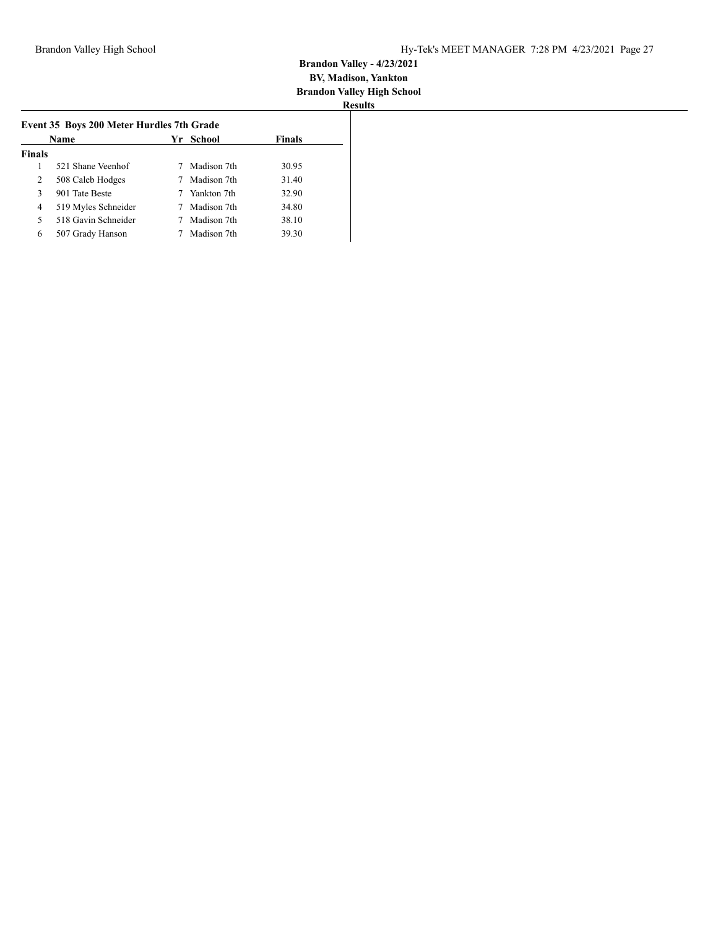|               | Name                |  | Yr School   | <b>Finals</b> |
|---------------|---------------------|--|-------------|---------------|
| <b>Finals</b> |                     |  |             |               |
|               | 521 Shane Veenhof   |  | Madison 7th | 30.95         |
| 2             | 508 Caleb Hodges    |  | Madison 7th | 31.40         |
| 3             | 901 Tate Beste      |  | Yankton 7th | 32.90         |
| 4             | 519 Myles Schneider |  | Madison 7th | 34.80         |
| 5             | 518 Gavin Schneider |  | Madison 7th | 38.10         |
| 6             | 507 Grady Hanson    |  | Madison 7th | 39.30         |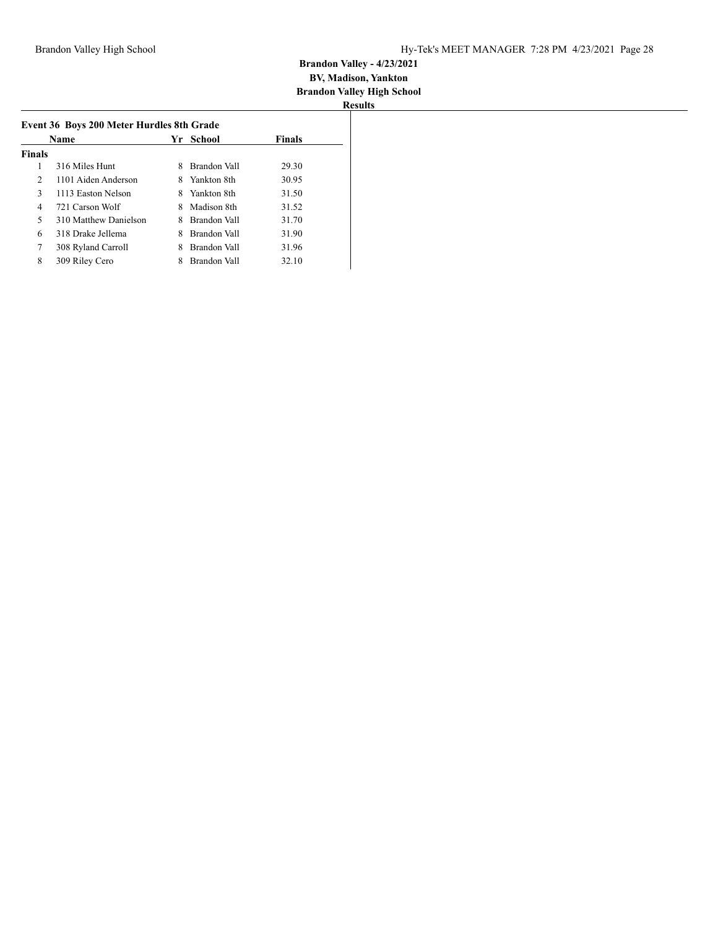|               | <b>Name</b>           | Yr. | - School     | <b>Finals</b> |
|---------------|-----------------------|-----|--------------|---------------|
| <b>Finals</b> |                       |     |              |               |
| 1             | 316 Miles Hunt        | 8   | Brandon Vall | 29.30         |
| 2             | 1101 Aiden Anderson   | 8.  | Yankton 8th  | 30.95         |
| 3             | 1113 Easton Nelson    | 8.  | Yankton 8th  | 31.50         |
| 4             | 721 Carson Wolf       |     | Madison 8th  | 31.52         |
| 5             | 310 Matthew Danielson | 8   | Brandon Vall | 31.70         |
| 6             | 318 Drake Jellema     | 8   | Brandon Vall | 31.90         |
| 7             | 308 Ryland Carroll    | 8   | Brandon Vall | 31.96         |
| 8             | 309 Riley Cero        |     | Brandon Vall | 32.10         |
|               |                       |     |              |               |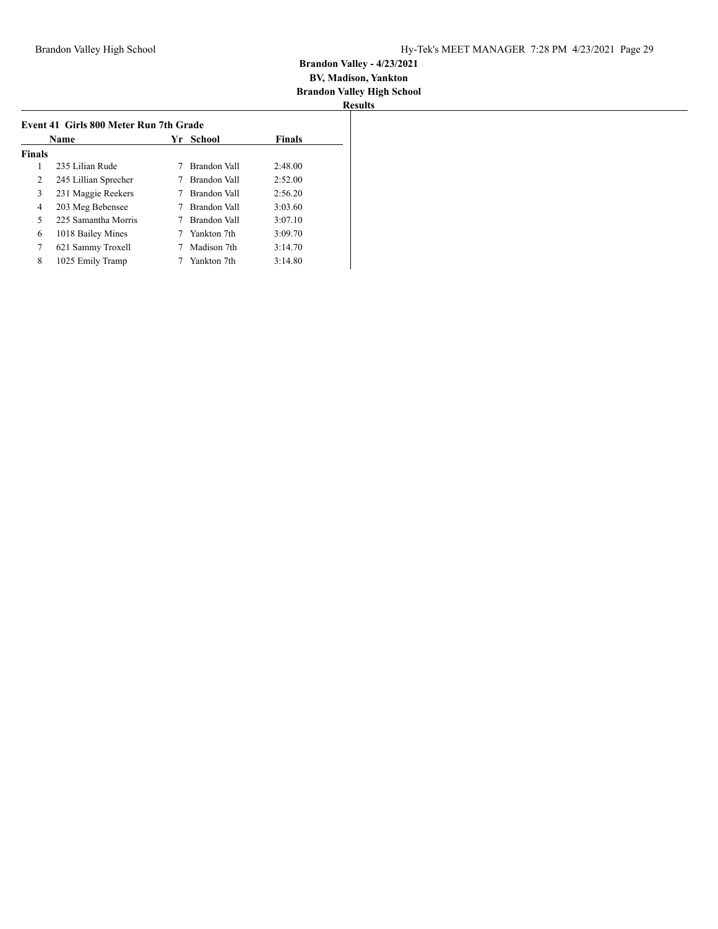|               | Name                 |  | Yr School    | <b>Finals</b> |
|---------------|----------------------|--|--------------|---------------|
| <b>Finals</b> |                      |  |              |               |
| 1             | 235 Lilian Rude      |  | Brandon Vall | 2:48.00       |
| 2             | 245 Lillian Sprecher |  | Brandon Vall | 2:52.00       |
| 3             | 231 Maggie Reekers   |  | Brandon Vall | 2:56.20       |
| 4             | 203 Meg Bebensee     |  | Brandon Vall | 3:03.60       |
| 5             | 225 Samantha Morris  |  | Brandon Vall | 3:07.10       |
| 6             | 1018 Bailey Mines    |  | Yankton 7th  | 3:09.70       |
| 7             | 621 Sammy Troxell    |  | Madison 7th  | 3:14.70       |
| 8             | 1025 Emily Tramp     |  | Yankton 7th  | 3:14.80       |
|               |                      |  |              |               |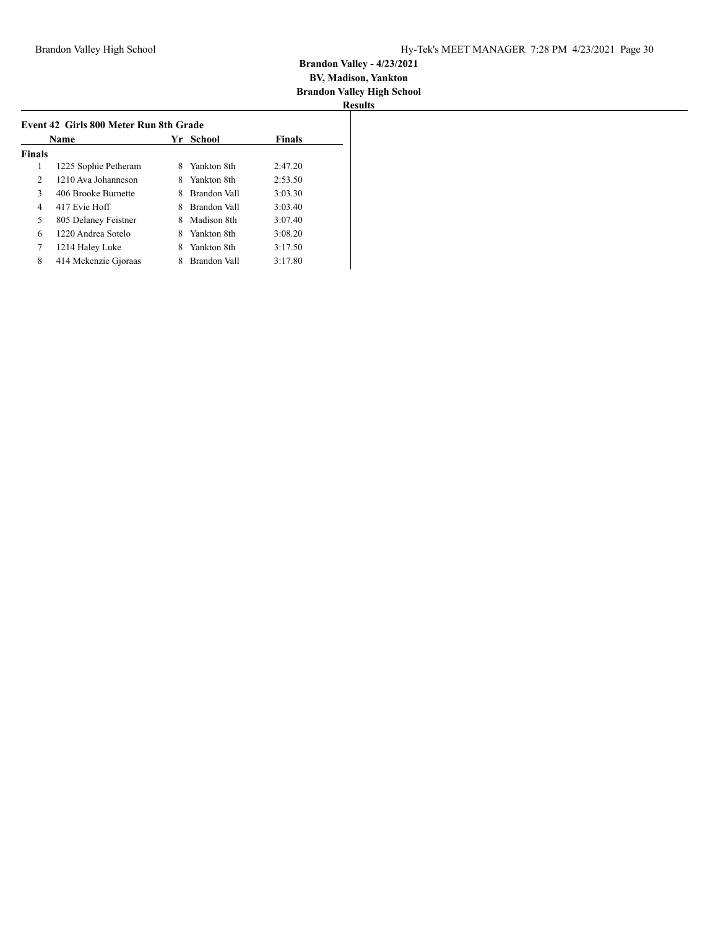| <b>Finals</b><br>1<br>Yankton 8th<br>1225 Sophie Petheram<br>8<br>2<br>1210 Ava Johanneson<br>Yankton 8th<br>8<br>3<br>406 Brooke Burnette<br>Brandon Vall<br>417 Evie Hoff<br>Brandon Vall<br>4<br>8<br>5<br>805 Delaney Feistner<br>Madison 8th<br>8<br>1220 Andrea Sotelo<br>6<br>Yankton 8th<br>8<br>7<br>Yankton 8th<br>1214 Haley Luke<br>8 | Name |                      | Yr School |              |         |
|---------------------------------------------------------------------------------------------------------------------------------------------------------------------------------------------------------------------------------------------------------------------------------------------------------------------------------------------------|------|----------------------|-----------|--------------|---------|
|                                                                                                                                                                                                                                                                                                                                                   |      |                      |           |              |         |
|                                                                                                                                                                                                                                                                                                                                                   |      |                      |           |              | 2:47.20 |
|                                                                                                                                                                                                                                                                                                                                                   |      |                      |           |              | 2:53.50 |
|                                                                                                                                                                                                                                                                                                                                                   |      |                      |           |              | 3:03.30 |
|                                                                                                                                                                                                                                                                                                                                                   |      |                      |           |              | 3:03.40 |
|                                                                                                                                                                                                                                                                                                                                                   |      |                      |           |              | 3:07.40 |
|                                                                                                                                                                                                                                                                                                                                                   |      |                      |           |              | 3:08.20 |
|                                                                                                                                                                                                                                                                                                                                                   |      |                      |           |              | 3:17.50 |
|                                                                                                                                                                                                                                                                                                                                                   | 8    | 414 Mckenzie Gjoraas |           | Brandon Vall | 3:17.80 |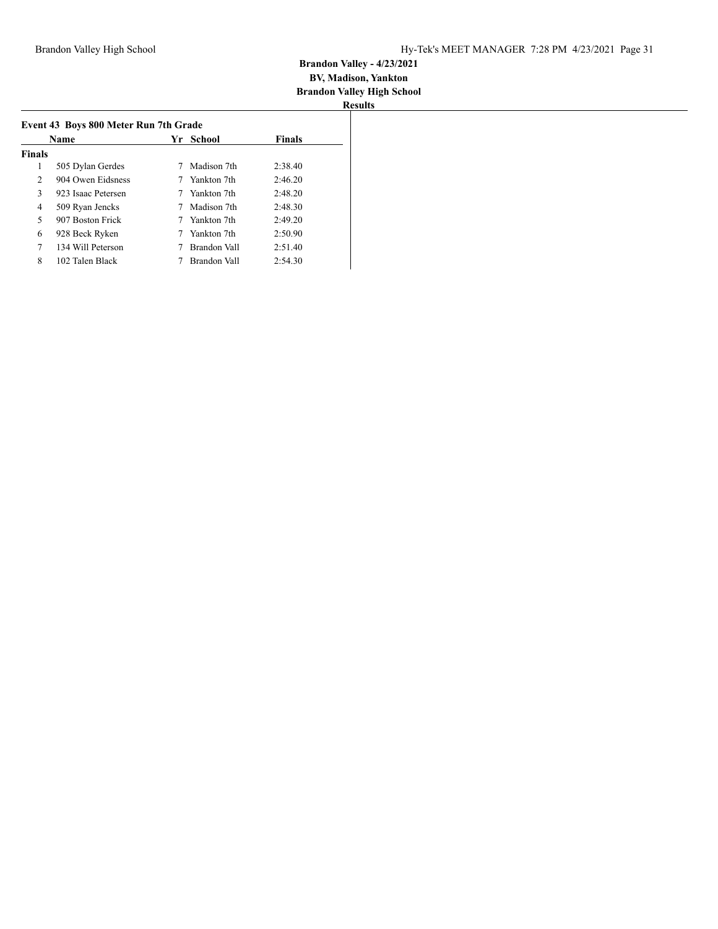|                | Name               | Yr School    | <b>Finals</b> |
|----------------|--------------------|--------------|---------------|
| <b>Finals</b>  |                    |              |               |
| 1              | 505 Dylan Gerdes   | Madison 7th  | 2:38.40       |
| $\overline{2}$ | 904 Owen Eidsness  | Yankton 7th  | 2:46.20       |
| 3              | 923 Isaac Petersen | Yankton 7th  | 2:48.20       |
| 4              | 509 Ryan Jencks    | Madison 7th  | 2:48.30       |
| 5              | 907 Boston Frick   | Yankton 7th  | 2:49.20       |
| 6              | 928 Beck Ryken     | Yankton 7th  | 2:50.90       |
| 7              | 134 Will Peterson  | Brandon Vall | 2:51.40       |
| 8              | 102 Talen Black    | Brandon Vall | 2:54.30       |
|                |                    |              |               |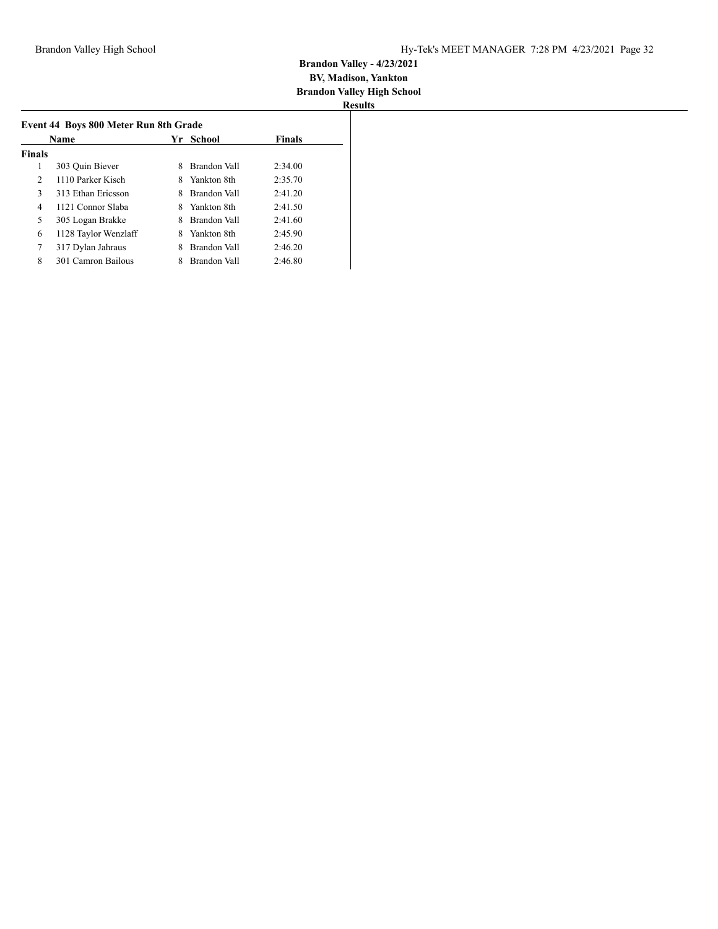|                | Name                 |   | Yr School    | Finals  |
|----------------|----------------------|---|--------------|---------|
| <b>Finals</b>  |                      |   |              |         |
| 1              | 303 Ouin Biever      | 8 | Brandon Vall | 2:34.00 |
| $\overline{2}$ | 1110 Parker Kisch    | 8 | Yankton 8th  | 2:35.70 |
| 3              | 313 Ethan Ericsson   | 8 | Brandon Vall | 2:41.20 |
| 4              | 1121 Connor Slaba    | 8 | Yankton 8th  | 2:41.50 |
| 5              | 305 Logan Brakke     | 8 | Brandon Vall | 2:41.60 |
| 6              | 1128 Taylor Wenzlaff | 8 | Yankton 8th  | 2:45.90 |
| 7              | 317 Dylan Jahraus    | 8 | Brandon Vall | 2:46.20 |
| 8              | 301 Camron Bailous   |   | Brandon Vall | 2:46.80 |
|                |                      |   |              |         |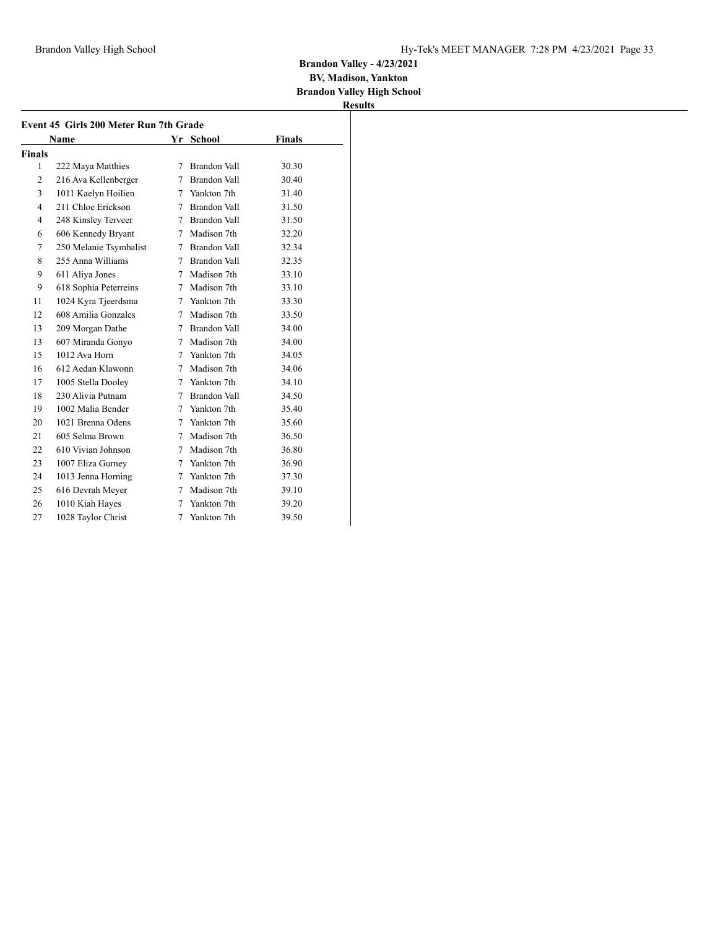**BV, Madison, Yankton Brandon Valley High School**

|                | Name                   |        | Yr School      | Finals |
|----------------|------------------------|--------|----------------|--------|
| Finals         |                        |        |                |        |
| 1              | 222 Maya Matthies      | 7      | Brandon Vall   | 30.30  |
| 2              | 216 Ava Kellenberger   | 7      | Brandon Vall   | 30.40  |
| 3              | 1011 Kaelyn Hoilien    |        | 7 Yankton 7th  | 31.40  |
| $\overline{4}$ | 211 Chloe Erickson     | 7      | Brandon Vall   | 31.50  |
| $\overline{4}$ | 248 Kinsley Terveer    |        | 7 Brandon Vall | 31.50  |
| 6              | 606 Kennedy Bryant     | 7      | Madison 7th    | 32.20  |
| 7              | 250 Melanie Tsymbalist | 7      | Brandon Vall   | 32.34  |
| 8              | 255 Anna Williams      |        | 7 Brandon Vall | 32.35  |
| 9              | 611 Aliya Jones        |        | 7 Madison 7th  | 33.10  |
| 9              | 618 Sophia Peterreins  |        | 7 Madison 7th  | 33.10  |
| 11             | 1024 Kyra Tjeerdsma    | 7      | Yankton 7th    | 33.30  |
| 12             | 608 Amilia Gonzales    |        | 7 Madison 7th  | 33.50  |
| 13             | 209 Morgan Dathe       |        | 7 Brandon Vall | 34.00  |
| 13             | 607 Miranda Gonyo      |        | 7 Madison 7th  | 34.00  |
| 15             | 1012 Ava Horn          | 7      | Yankton 7th    | 34.05  |
| 16             | 612 Aedan Klawonn      | $\tau$ | Madison 7th    | 34.06  |
| 17             | 1005 Stella Dooley     |        | 7 Yankton 7th  | 34.10  |
| 18             | 230 Alivia Putnam      | 7      | Brandon Vall   | 34.50  |
| 19             | 1002 Malia Bender      |        | 7 Yankton 7th  | 35.40  |
| 20             | 1021 Brenna Odens      | 7      | Yankton 7th    | 35.60  |
| 21             | 605 Selma Brown        | 7      | Madison 7th    | 36.50  |
| 22             | 610 Vivian Johnson     | 7      | Madison 7th    | 36.80  |
| 23             | 1007 Eliza Gurney      |        | 7 Yankton 7th  | 36.90  |
| 24             | 1013 Jenna Horning     | 7      | Yankton 7th    | 37.30  |
| 25             | 616 Devrah Meyer       |        | 7 Madison 7th  | 39.10  |
| 26             | 1010 Kiah Hayes        | 7      | Yankton 7th    | 39.20  |
| 27             | 1028 Taylor Christ     | 7      | Yankton 7th    | 39.50  |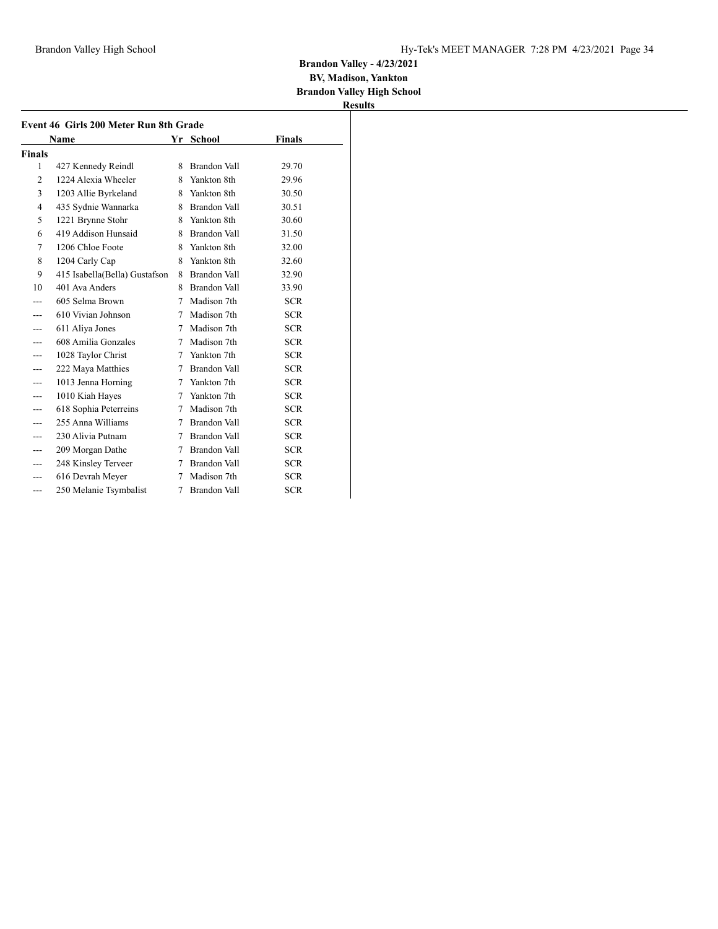**BV, Madison, Yankton Brandon Valley High School**

|                | Name                          |    | Yr School           | <b>Finals</b> |
|----------------|-------------------------------|----|---------------------|---------------|
| <b>Finals</b>  |                               |    |                     |               |
| 1              | 427 Kennedy Reindl            | 8  | <b>Brandon Vall</b> | 29.70         |
| $\overline{2}$ | 1224 Alexia Wheeler           |    | 8 Yankton 8th       | 29.96         |
| 3              | 1203 Allie Byrkeland          | 8. | Yankton 8th         | 30.50         |
| 4              | 435 Sydnie Wannarka           | 8. | Brandon Vall        | 30.51         |
| 5              | 1221 Brynne Stohr             |    | 8 Yankton 8th       | 30.60         |
| 6              | 419 Addison Hunsaid           | 8  | Brandon Vall        | 31.50         |
| 7              | 1206 Chloe Foote              | 8. | Yankton 8th         | 32.00         |
| 8              | 1204 Carly Cap                |    | 8 Yankton 8th       | 32.60         |
| 9              | 415 Isabella(Bella) Gustafson | 8  | Brandon Vall        | 32.90         |
| 10             | 401 Ava Anders                | 8  | Brandon Vall        | 33.90         |
|                | 605 Selma Brown               |    | 7 Madison 7th       | <b>SCR</b>    |
| ---            | 610 Vivian Johnson            | 7  | Madison 7th         | SCR.          |
|                | 611 Aliya Jones               | 7  | Madison 7th         | <b>SCR</b>    |
|                | 608 Amilia Gonzales           | 7  | Madison 7th         | SCR.          |
| ---            | 1028 Taylor Christ            | 7  | Yankton 7th         | <b>SCR</b>    |
| ---            | 222 Maya Matthies             | 7  | Brandon Vall        | <b>SCR</b>    |
|                | 1013 Jenna Horning            | 7  | Yankton 7th         | <b>SCR</b>    |
| ---            | 1010 Kiah Hayes               | 7  | Yankton 7th         | <b>SCR</b>    |
| ---            | 618 Sophia Peterreins         | 7  | Madison 7th         | SCR.          |
|                | 255 Anna Williams             | 7  | Brandon Vall        | SCR.          |
| ---            | 230 Alivia Putnam             | 7  | Brandon Vall        | <b>SCR</b>    |
|                | 209 Morgan Dathe              | 7  | Brandon Vall        | <b>SCR</b>    |
| ---            | 248 Kinsley Terveer           | 7  | Brandon Vall        | SCR.          |
|                | 616 Devrah Meyer              | 7  | Madison 7th         | <b>SCR</b>    |
| ---            | 250 Melanie Tsymbalist        | 7  | <b>Brandon Vall</b> | <b>SCR</b>    |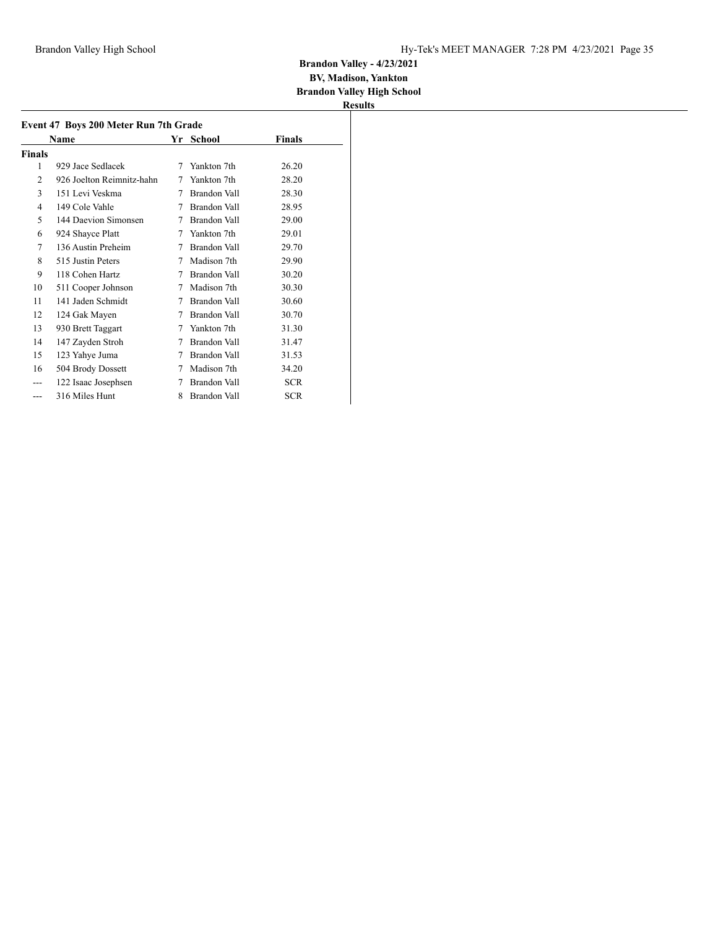## **Brandon Valley - 4/23/2021 BV, Madison, Yankton**

**Brandon Valley High School**

| Event 47 Boys 200 Meter Run 7th Grade |                           |    |                     |            |  |  |  |
|---------------------------------------|---------------------------|----|---------------------|------------|--|--|--|
|                                       | Name                      | Yr | School              | Finals     |  |  |  |
| Finals                                |                           |    |                     |            |  |  |  |
| 1                                     | 929 Jace Sedlacek         | 7  | Yankton 7th         | 26.20      |  |  |  |
| 2                                     | 926 Joelton Reimnitz-hahn | 7  | Yankton 7th         | 28.20      |  |  |  |
| 3                                     | 151 Levi Veskma           | 7  | <b>Brandon Vall</b> | 28.30      |  |  |  |
| 4                                     | 149 Cole Vahle            | 7  | Brandon Vall        | 28.95      |  |  |  |
| 5                                     | 144 Daevion Simonsen      | 7  | Brandon Vall        | 29.00      |  |  |  |
| 6                                     | 924 Shayce Platt          | 7  | Yankton 7th         | 29.01      |  |  |  |
| 7                                     | 136 Austin Preheim        | 7  | Brandon Vall        | 29.70      |  |  |  |
| 8                                     | 515 Justin Peters         | 7  | Madison 7th         | 29.90      |  |  |  |
| 9                                     | 118 Cohen Hartz           | 7  | Brandon Vall        | 30.20      |  |  |  |
| 10                                    | 511 Cooper Johnson        | 7  | Madison 7th         | 30.30      |  |  |  |
| 11                                    | 141 Jaden Schmidt         | 7  | Brandon Vall        | 30.60      |  |  |  |
| 12                                    | 124 Gak Mayen             | 7  | <b>Brandon Vall</b> | 30.70      |  |  |  |
| 13                                    | 930 Brett Taggart         | 7  | Yankton 7th         | 31.30      |  |  |  |
| 14                                    | 147 Zayden Stroh          | 7  | Brandon Vall        | 31.47      |  |  |  |
| 15                                    | 123 Yahye Juma            | 7  | Brandon Vall        | 31.53      |  |  |  |
| 16                                    | 504 Brody Dossett         | 7  | Madison 7th         | 34.20      |  |  |  |
|                                       | 122 Isaac Josephsen       | 7  | Brandon Vall        | <b>SCR</b> |  |  |  |
| ---                                   | 316 Miles Hunt            | 8  | <b>Brandon Vall</b> | <b>SCR</b> |  |  |  |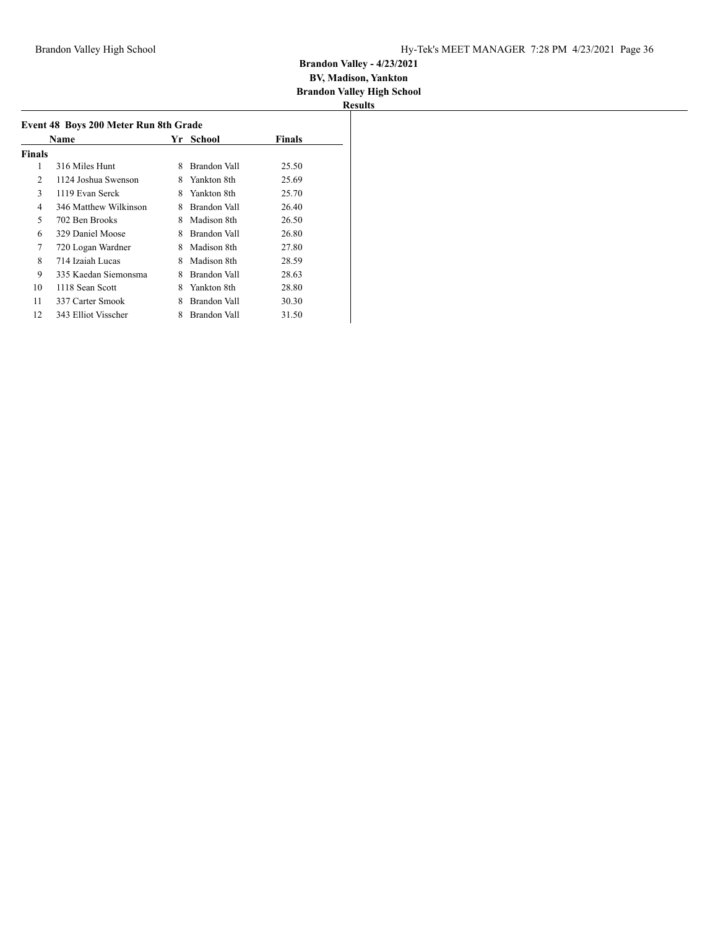| Results |  |
|---------|--|

| Name   |                       |   | Yr School    | <b>Finals</b> |
|--------|-----------------------|---|--------------|---------------|
| Finals |                       |   |              |               |
| 1      | 316 Miles Hunt        | 8 | Brandon Vall | 25.50         |
| 2      | 1124 Joshua Swenson   | 8 | Yankton 8th  | 25.69         |
| 3      | 1119 Evan Serck       | 8 | Yankton 8th  | 25.70         |
| 4      | 346 Matthew Wilkinson | 8 | Brandon Vall | 26.40         |
| 5      | 702 Ben Brooks        | 8 | Madison 8th  | 26.50         |
| 6      | 329 Daniel Moose      | 8 | Brandon Vall | 26.80         |
| 7      | 720 Logan Wardner     | 8 | Madison 8th  | 27.80         |
| 8      | 714 Izaiah Lucas      | 8 | Madison 8th  | 28.59         |
| 9      | 335 Kaedan Siemonsma  | 8 | Brandon Vall | 28.63         |
| 10     | 1118 Sean Scott       | 8 | Yankton 8th  | 28.80         |
| 11     | 337 Carter Smook      | 8 | Brandon Vall | 30.30         |
| 12     | 343 Elliot Visscher   | 8 | Brandon Vall | 31.50         |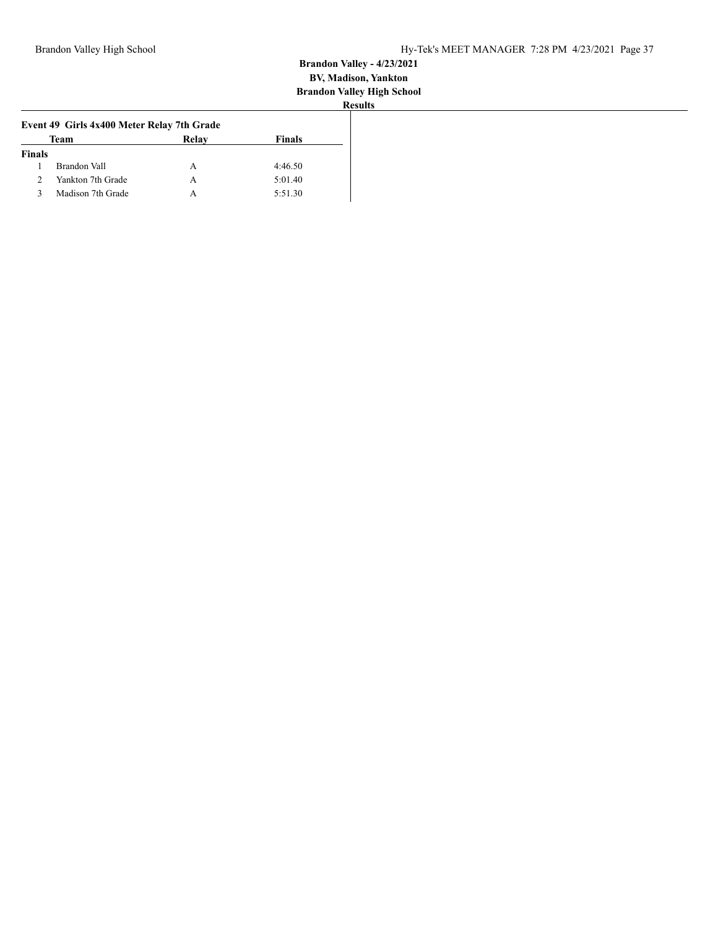|               | Event 49 Girls 4x400 Meter Relay 7th Grade |       |               |
|---------------|--------------------------------------------|-------|---------------|
|               | Team                                       | Relay | <b>Finals</b> |
| <b>Finals</b> |                                            |       |               |
|               | Brandon Vall                               | А     | 4:46.50       |
|               | Yankton 7th Grade                          | А     | 5:01.40       |
|               | Madison 7th Grade                          | А     | 5:51.30       |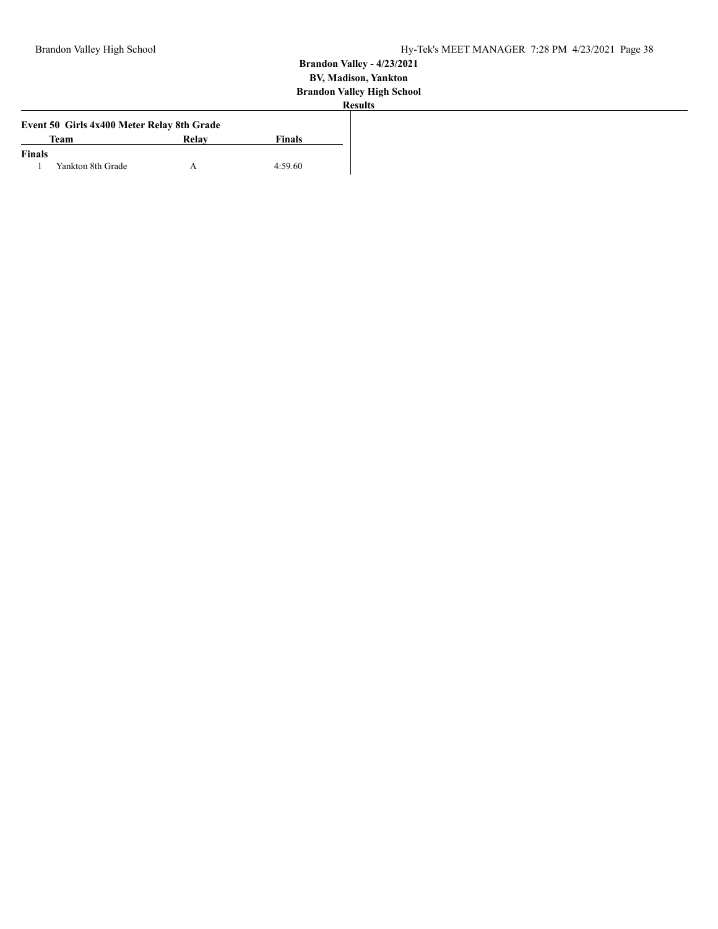|               | Event 50 Girls 4x400 Meter Relay 8th Grade |       |               |
|---------------|--------------------------------------------|-------|---------------|
|               | <b>Team</b>                                | Relay | <b>Finals</b> |
| <b>Finals</b> |                                            |       |               |
|               | Yankton 8th Grade                          |       | 4:59.60       |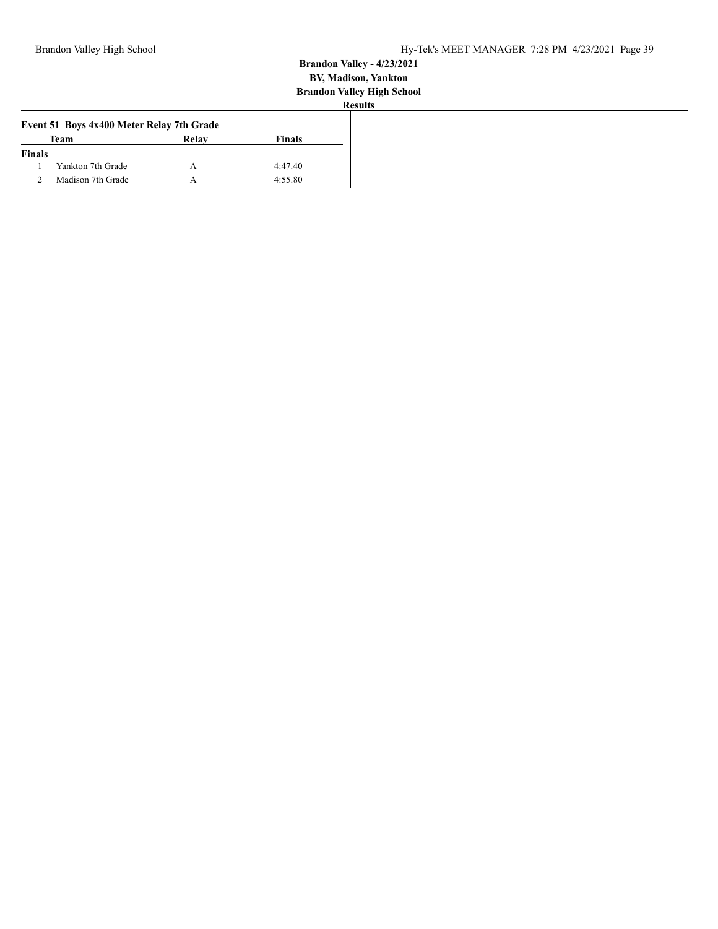|               | Event 51 Boys 4x400 Meter Relay 7th Grade |       |               |
|---------------|-------------------------------------------|-------|---------------|
|               | <b>Team</b>                               | Relay | <b>Finals</b> |
| <b>Finals</b> |                                           |       |               |
|               | Yankton 7th Grade                         |       | 4:47.40       |
|               | Madison 7th Grade                         | А     | 4:55.80       |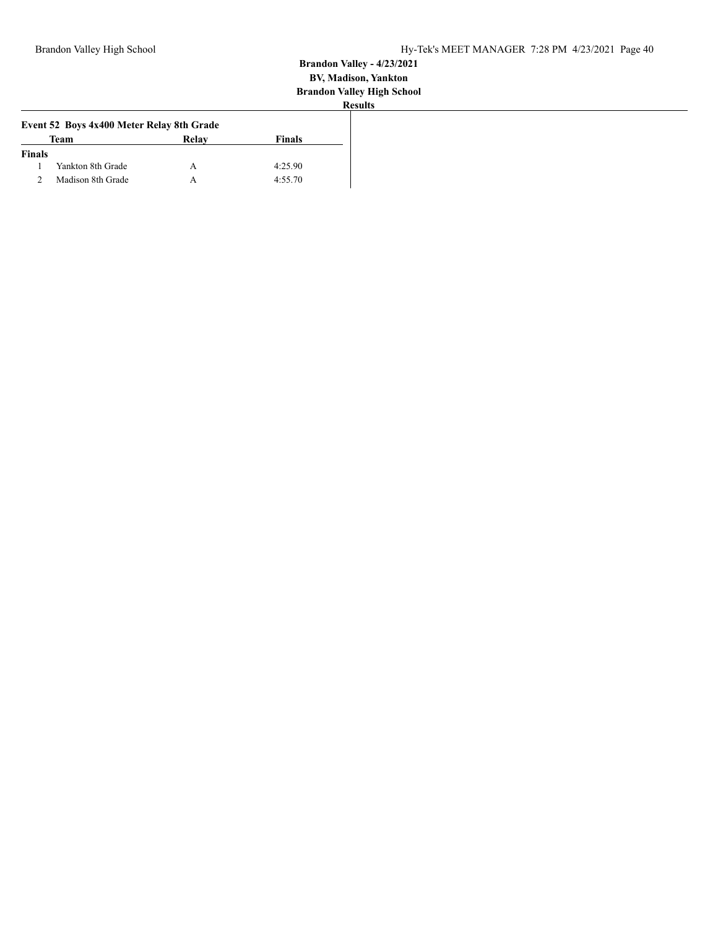|               | Event 52 Boys 4x400 Meter Relay 8th Grade |       |               |
|---------------|-------------------------------------------|-------|---------------|
|               | Team                                      | Relay | <b>Finals</b> |
| <b>Finals</b> |                                           |       |               |
|               | Yankton 8th Grade                         |       | 4:25.90       |
|               | Madison 8th Grade                         |       | 4:55.70       |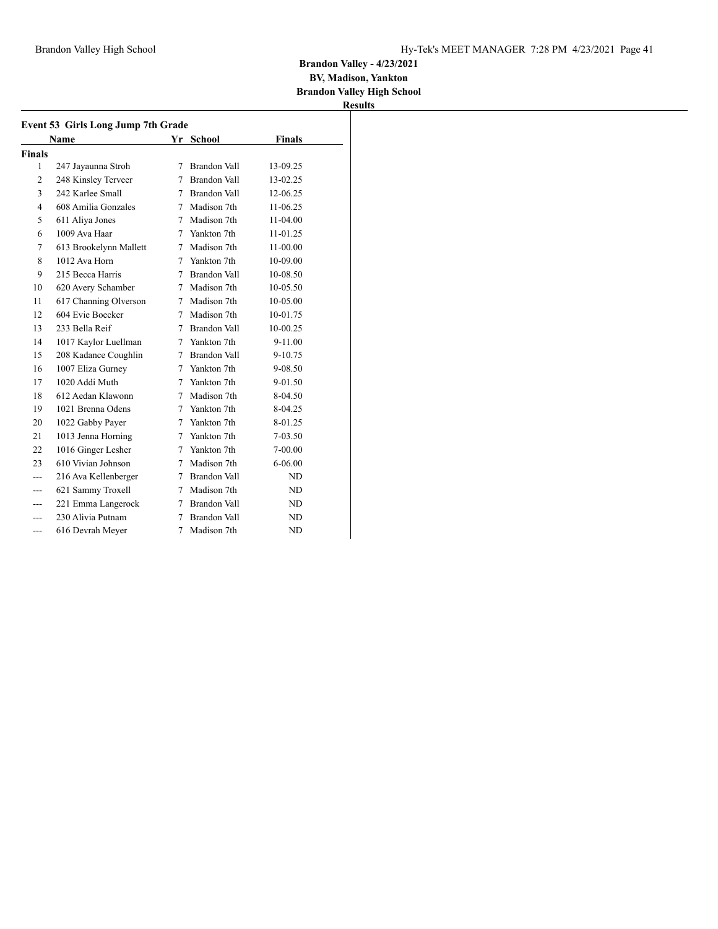**BV, Madison, Yankton Brandon Valley High School**

|                | <b>Name</b>            |             | Yr School           | <b>Finals</b> |
|----------------|------------------------|-------------|---------------------|---------------|
| <b>Finals</b>  |                        |             |                     |               |
| 1              | 247 Jayaunna Stroh     | 7           | <b>Brandon Vall</b> | 13-09.25      |
| 2              | 248 Kinsley Terveer    | 7           | Brandon Vall        | 13-02.25      |
| 3              | 242 Karlee Small       | 7           | Brandon Vall        | 12-06.25      |
| $\overline{4}$ | 608 Amilia Gonzales    | 7           | Madison 7th         | 11-06.25      |
| 5              | 611 Aliya Jones        | 7           | Madison 7th         | 11-04.00      |
| 6              | 1009 Ava Haar          | 7           | Yankton 7th         | 11-01.25      |
| 7              | 613 Brookelynn Mallett | 7           | Madison 7th         | 11-00.00      |
| 8              | 1012 Ava Horn          | 7           | Yankton 7th         | 10-09.00      |
| 9              | 215 Becca Harris       | 7           | Brandon Vall        | 10-08.50      |
| 10             | 620 Avery Schamber     | 7           | Madison 7th         | $10-05.50$    |
| 11             | 617 Channing Olverson  | 7           | Madison 7th         | 10-05.00      |
| 12             | 604 Evie Boecker       | 7           | Madison 7th         | 10-01.75      |
| 13             | 233 Bella Reif         | 7           | <b>Brandon Vall</b> | 10-00.25      |
| 14             | 1017 Kaylor Luellman   | 7           | Yankton 7th         | 9-11.00       |
| 15             | 208 Kadance Coughlin   | 7           | Brandon Vall        | $9 - 10.75$   |
| 16             | 1007 Eliza Gurney      | $7^{\circ}$ | Yankton 7th         | 9-08.50       |
| 17             | 1020 Addi Muth         | 7           | Yankton 7th         | 9-01.50       |
| 18             | 612 Aedan Klawonn      | 7           | Madison 7th         | 8-04.50       |
| 19             | 1021 Brenna Odens      | 7           | Yankton 7th         | 8-04.25       |
| 20             | 1022 Gabby Payer       | 7           | Yankton 7th         | 8-01.25       |
| 21             | 1013 Jenna Horning     | 7           | Yankton 7th         | $7-03.50$     |
| 22             | 1016 Ginger Lesher     | 7           | Yankton 7th         | $7 - 00.00$   |
| 23             | 610 Vivian Johnson     | 7           | Madison 7th         | $6 - 06.00$   |
| ---            | 216 Ava Kellenberger   | 7           | <b>Brandon Vall</b> | ND            |
|                | 621 Sammy Troxell      | 7           | Madison 7th         | ND            |
| ---            | 221 Emma Langerock     | 7           | <b>Brandon Vall</b> | ND            |
| ---            | 230 Alivia Putnam      | 7           | Brandon Vall        | ND            |
| ---            | 616 Devrah Mever       | 7           | Madison 7th         | ND            |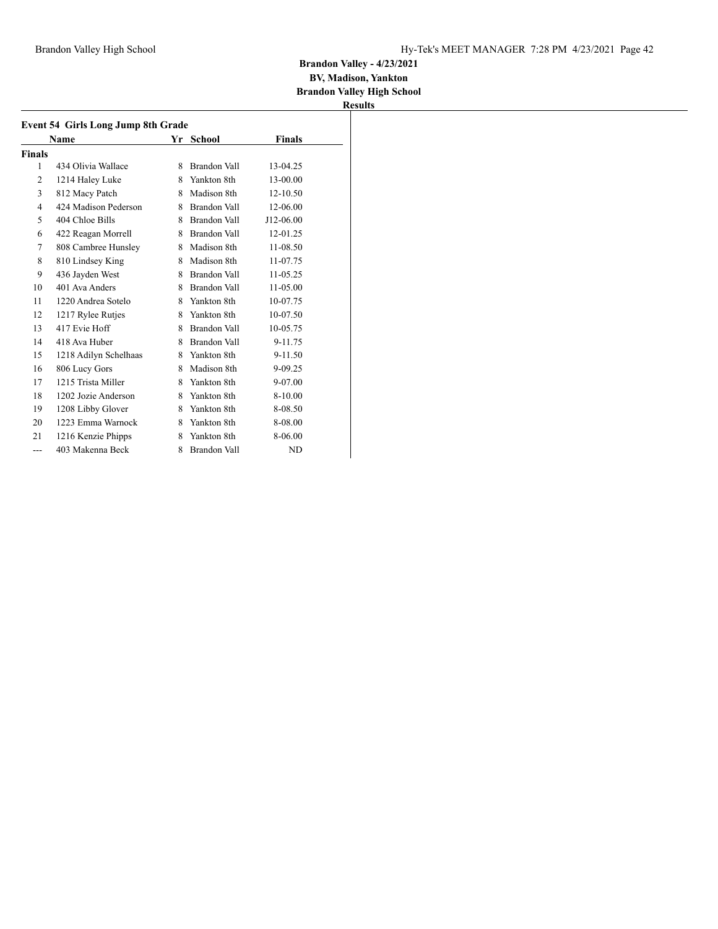# **BV, Madison, Yankton**

**Brandon Valley High School Results**

|                | <b>Event 54 Girls Long Jump 8th Grade</b> |    |                     |           |
|----------------|-------------------------------------------|----|---------------------|-----------|
|                | <b>Name</b>                               |    | Yr School           | Finals    |
| Finals         |                                           |    |                     |           |
| 1              | 434 Olivia Wallace                        | 8  | Brandon Vall        | 13-04.25  |
| $\overline{2}$ | 1214 Haley Luke                           | 8  | Yankton 8th         | 13-00.00  |
| 3              | 812 Macy Patch                            | 8  | Madison 8th         | 12-10.50  |
| $\overline{4}$ | 424 Madison Pederson                      |    | 8 Brandon Vall      | 12-06.00  |
| 5              | 404 Chloe Bills                           |    | 8 Brandon Vall      | J12-06.00 |
| 6              | 422 Reagan Morrell                        |    | 8 Brandon Vall      | 12-01.25  |
| 7              | 808 Cambree Hunsley                       |    | 8 Madison 8th       | 11-08.50  |
| 8              | 810 Lindsey King                          |    | 8 Madison 8th       | 11-07.75  |
| 9              | 436 Jayden West                           |    | 8 Brandon Vall      | 11-05.25  |
| 10             | 401 Ava Anders                            |    | 8 Brandon Vall      | 11-05.00  |
| 11             | 1220 Andrea Sotelo                        | 8  | Yankton 8th         | 10-07.75  |
| 12             | 1217 Rylee Rutjes                         |    | 8 Yankton 8th       | 10-07.50  |
| 13             | 417 Evie Hoff                             |    | 8 Brandon Vall      | 10-05.75  |
| 14             | 418 Ava Huber                             |    | 8 Brandon Vall      | 9-11.75   |
| 15             | 1218 Adilyn Schelhaas                     |    | 8 Yankton 8th       | 9-11.50   |
| 16             | 806 Lucy Gors                             | 8. | Madison 8th         | 9-09.25   |
| 17             | 1215 Trista Miller                        |    | 8 Yankton 8th       | 9-07.00   |
| 18             | 1202 Jozie Anderson                       | 8  | Yankton 8th         | 8-10.00   |
| 19             | 1208 Libby Glover                         | 8  | Yankton 8th         | 8-08.50   |
| 20             | 1223 Emma Warnock                         | 8  | Yankton 8th         | 8-08.00   |
| 21             | 1216 Kenzie Phipps                        | 8  | Yankton 8th         | 8-06.00   |
| ---            | 403 Makenna Beck                          | 8  | <b>Brandon Vall</b> | <b>ND</b> |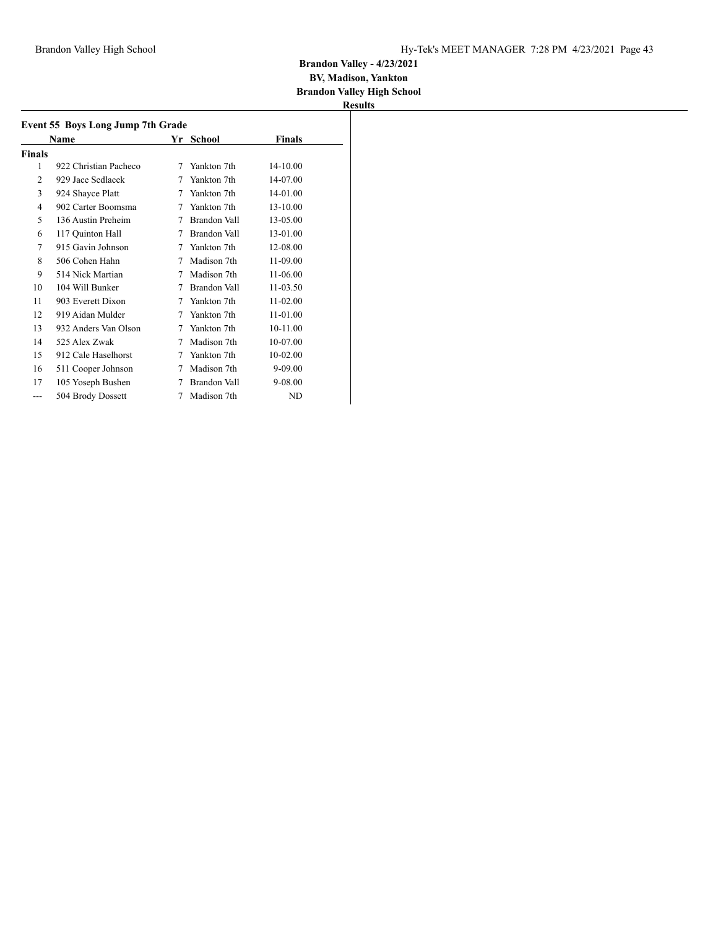#### **BV, Madison, Yankton Brandon Valley High School**

|        | Name                  |   | Yr School    | Finals       |
|--------|-----------------------|---|--------------|--------------|
| Finals |                       |   |              |              |
| 1      | 922 Christian Pacheco | 7 | Yankton 7th  | $14 - 10.00$ |
| 2      | 929 Jace Sedlacek     | 7 | Yankton 7th  | 14-07.00     |
| 3      | 924 Shayce Platt      | 7 | Yankton 7th  | 14-01.00     |
| 4      | 902 Carter Boomsma    | 7 | Yankton 7th  | 13-10.00     |
| 5      | 136 Austin Preheim    | 7 | Brandon Vall | 13-05.00     |
| 6      | 117 Quinton Hall      | 7 | Brandon Vall | 13-01.00     |
| 7      | 915 Gavin Johnson     | 7 | Yankton 7th  | 12-08.00     |
| 8      | 506 Cohen Hahn        | 7 | Madison 7th  | 11-09.00     |
| 9      | 514 Nick Martian      | 7 | Madison 7th  | 11-06.00     |
| 10     | 104 Will Bunker       | 7 | Brandon Vall | 11-03.50     |
| 11     | 903 Everett Dixon     | 7 | Yankton 7th  | 11-02.00     |
| 12     | 919 Aidan Mulder      | 7 | Yankton 7th  | 11-01.00     |
| 13     | 932 Anders Van Olson  | 7 | Yankton 7th  | 10-11.00     |
| 14     | 525 Alex Zwak         | 7 | Madison 7th  | 10-07.00     |
| 15     | 912 Cale Haselhorst   | 7 | Yankton 7th  | 10-02.00     |
| 16     | 511 Cooper Johnson    | 7 | Madison 7th  | 9-09.00      |
| 17     | 105 Yoseph Bushen     | 7 | Brandon Vall | 9-08.00      |
| ---    | 504 Brody Dossett     | 7 | Madison 7th  | ND           |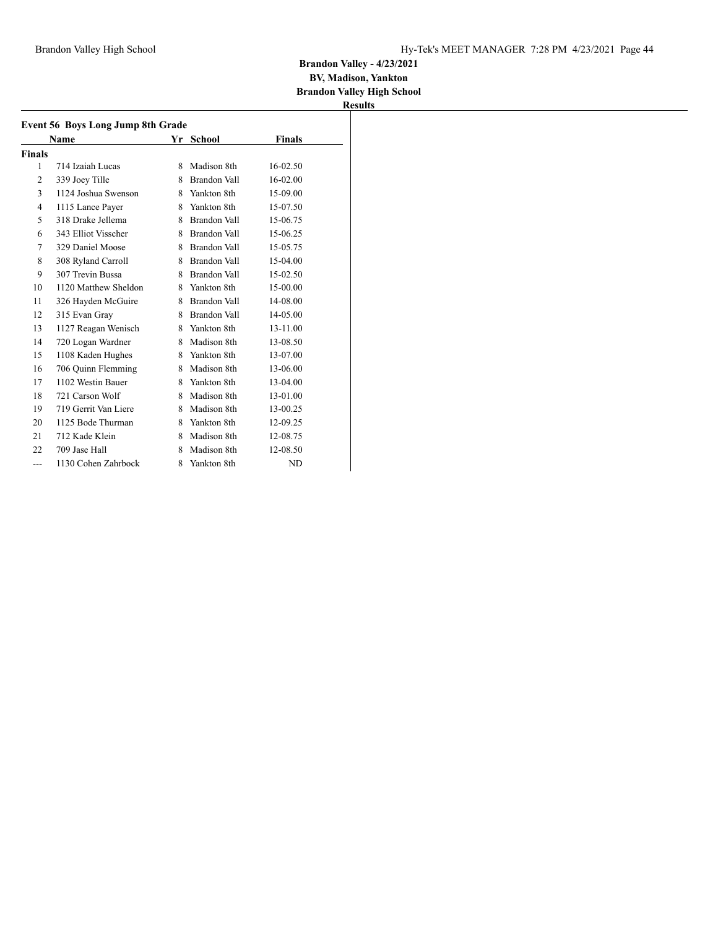**BV, Madison, Yankton**

**Brandon Valley High School Results**

| Event 56 Boys Long Jump 8th Grade |                      |    |                |          |  |
|-----------------------------------|----------------------|----|----------------|----------|--|
|                                   | Name                 |    | Yr School      | Finals   |  |
| Finals                            |                      |    |                |          |  |
| 1                                 | 714 Izaiah Lucas     | 8  | Madison 8th    | 16-02.50 |  |
| 2                                 | 339 Joey Tille       | 8  | Brandon Vall   | 16-02.00 |  |
| 3                                 | 1124 Joshua Swenson  |    | 8 Yankton 8th  | 15-09.00 |  |
| 4                                 | 1115 Lance Payer     | 8. | Yankton 8th    | 15-07.50 |  |
| 5                                 | 318 Drake Jellema    |    | 8 Brandon Vall | 15-06.75 |  |
| 6                                 | 343 Elliot Visscher  |    | 8 Brandon Vall | 15-06.25 |  |
| 7                                 | 329 Daniel Moose     |    | 8 Brandon Vall | 15-05.75 |  |
| 8                                 | 308 Ryland Carroll   |    | 8 Brandon Vall | 15-04.00 |  |
| 9                                 | 307 Trevin Bussa     |    | 8 Brandon Vall | 15-02.50 |  |
| 10                                | 1120 Matthew Sheldon |    | 8 Yankton 8th  | 15-00.00 |  |
| 11                                | 326 Hayden McGuire   |    | 8 Brandon Vall | 14-08.00 |  |
| 12                                | 315 Evan Gray        |    | 8 Brandon Vall | 14-05.00 |  |
| 13                                | 1127 Reagan Wenisch  | 8  | Yankton 8th    | 13-11.00 |  |
| 14                                | 720 Logan Wardner    | 8. | Madison 8th    | 13-08.50 |  |
| 15                                | 1108 Kaden Hughes    |    | 8 Yankton 8th  | 13-07.00 |  |
| 16                                | 706 Quinn Flemming   | 8. | Madison 8th    | 13-06.00 |  |
| 17                                | 1102 Westin Bauer    |    | 8 Yankton 8th  | 13-04.00 |  |
| 18                                | 721 Carson Wolf      | 8  | Madison 8th    | 13-01.00 |  |
| 19                                | 719 Gerrit Van Liere | 8  | Madison 8th    | 13-00.25 |  |
| 20                                | 1125 Bode Thurman    |    | 8 Yankton 8th  | 12-09.25 |  |
| 21                                | 712 Kade Klein       | 8  | Madison 8th    | 12-08.75 |  |
| 22                                | 709 Jase Hall        | 8  | Madison 8th    | 12-08.50 |  |
| $---$                             | 1130 Cohen Zahrbock  | 8  | Yankton 8th    | ND       |  |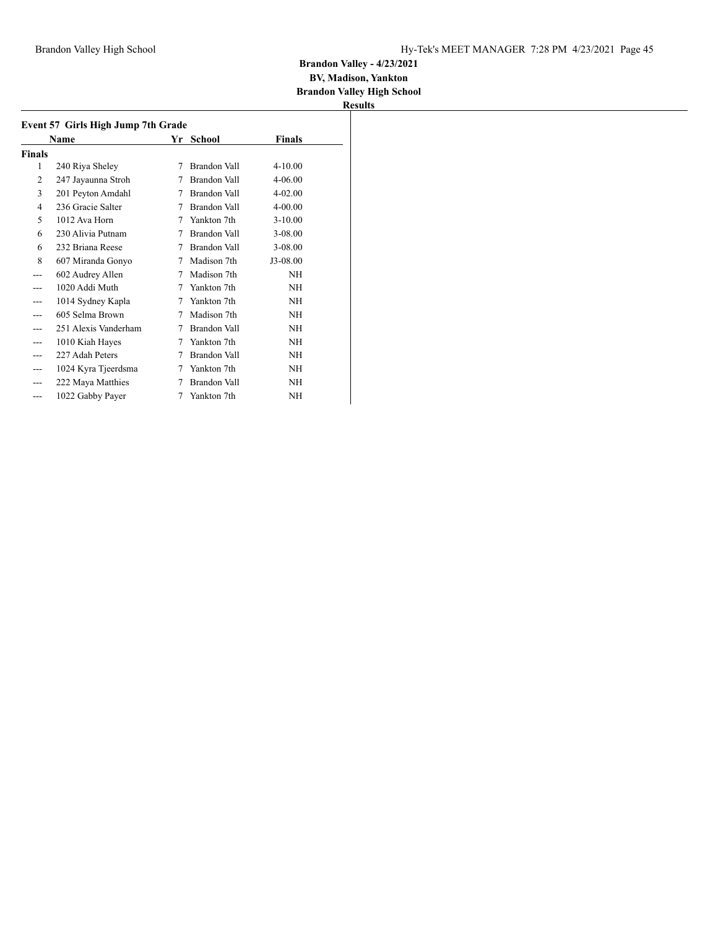#### **BV, Madison, Yankton Brandon Valley High School**

| Event 57 Girls High Jump 7th Grade |                      |   |              |             |  |
|------------------------------------|----------------------|---|--------------|-------------|--|
|                                    | Name                 |   | Yr School    | Finals      |  |
| Finals                             |                      |   |              |             |  |
| 1                                  | 240 Riya Sheley      | 7 | Brandon Vall | $4 - 10.00$ |  |
| 2                                  | 247 Jayaunna Stroh   | 7 | Brandon Vall | $4 - 06.00$ |  |
| 3                                  | 201 Peyton Amdahl    | 7 | Brandon Vall | $4 - 02.00$ |  |
| 4                                  | 236 Gracie Salter    | 7 | Brandon Vall | $4 - 00.00$ |  |
| 5                                  | 1012 Ava Horn        | 7 | Yankton 7th  | $3 - 10.00$ |  |
| 6                                  | 230 Alivia Putnam    | 7 | Brandon Vall | $3 - 08.00$ |  |
| 6                                  | 232 Briana Reese     | 7 | Brandon Vall | 3-08.00     |  |
| 8                                  | 607 Miranda Gonyo    | 7 | Madison 7th  | J3-08.00    |  |
| ---                                | 602 Audrey Allen     | 7 | Madison 7th  | NΗ          |  |
|                                    | 1020 Addi Muth       | 7 | Yankton 7th  | NΗ          |  |
|                                    | 1014 Sydney Kapla    | 7 | Yankton 7th  | NH          |  |
|                                    | 605 Selma Brown      | 7 | Madison 7th  | NΗ          |  |
|                                    | 251 Alexis Vanderham | 7 | Brandon Vall | NΗ          |  |
|                                    | 1010 Kiah Hayes      | 7 | Yankton 7th  | NΗ          |  |
|                                    | 227 Adah Peters      | 7 | Brandon Vall | NH          |  |
|                                    | 1024 Kyra Tjeerdsma  | 7 | Yankton 7th  | NΗ          |  |
|                                    | 222 Maya Matthies    | 7 | Brandon Vall | NH          |  |
| ---                                | 1022 Gabby Payer     | 7 | Yankton 7th  | NΗ          |  |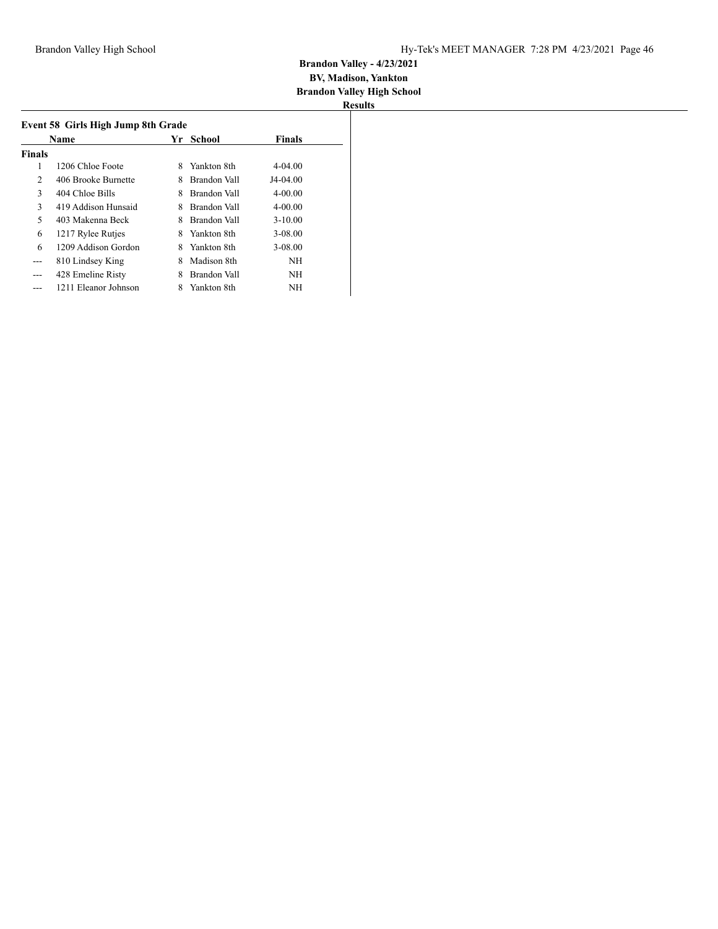| Event 58 Girls High Jump 8th Grade |                      |    |              |               |  |  |  |  |
|------------------------------------|----------------------|----|--------------|---------------|--|--|--|--|
|                                    | Name                 | Yr | School       | <b>Finals</b> |  |  |  |  |
| <b>Finals</b>                      |                      |    |              |               |  |  |  |  |
| 1                                  | 1206 Chloe Foote     | 8  | Yankton 8th  | $4 - 04.00$   |  |  |  |  |
| 2                                  | 406 Brooke Burnette  | 8  | Brandon Vall | J4-04.00      |  |  |  |  |
| 3                                  | 404 Chloe Bills      | 8  | Brandon Vall | $4 - 00.00$   |  |  |  |  |
| 3                                  | 419 Addison Hunsaid  | 8  | Brandon Vall | $4 - 00.00$   |  |  |  |  |
| 5                                  | 403 Makenna Beck     | 8  | Brandon Vall | $3 - 10.00$   |  |  |  |  |
| 6                                  | 1217 Rylee Rutjes    | 8  | Yankton 8th  | 3-08.00       |  |  |  |  |
| 6                                  | 1209 Addison Gordon  | 8  | Yankton 8th  | $3 - 08.00$   |  |  |  |  |
| ---                                | 810 Lindsey King     | 8  | Madison 8th  | NH            |  |  |  |  |
|                                    | 428 Emeline Risty    | 8  | Brandon Vall | NH            |  |  |  |  |
|                                    | 1211 Eleanor Johnson | 8  | Yankton 8th  | <b>NH</b>     |  |  |  |  |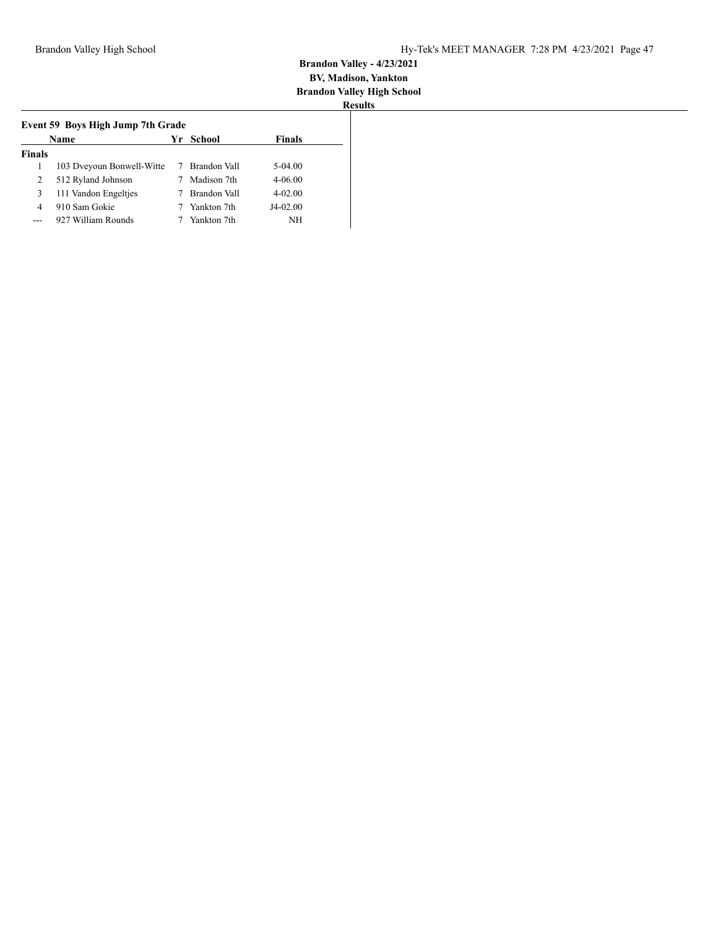|                | Name                      |   | Yr School    | Finals      |
|----------------|---------------------------|---|--------------|-------------|
| <b>Finals</b>  |                           |   |              |             |
| 1              | 103 Dyeyoun Bonwell-Witte | 7 | Brandon Vall | 5-04.00     |
| 2              | 512 Ryland Johnson        |   | Madison 7th  | $4 - 06.00$ |
| 3              | 111 Vandon Engeltjes      |   | Brandon Vall | $4 - 02.00$ |
| $\overline{4}$ | 910 Sam Gokie             |   | Yankton 7th  | $J4-02.00$  |
|                | 927 William Rounds        |   | Yankton 7th  | NΗ          |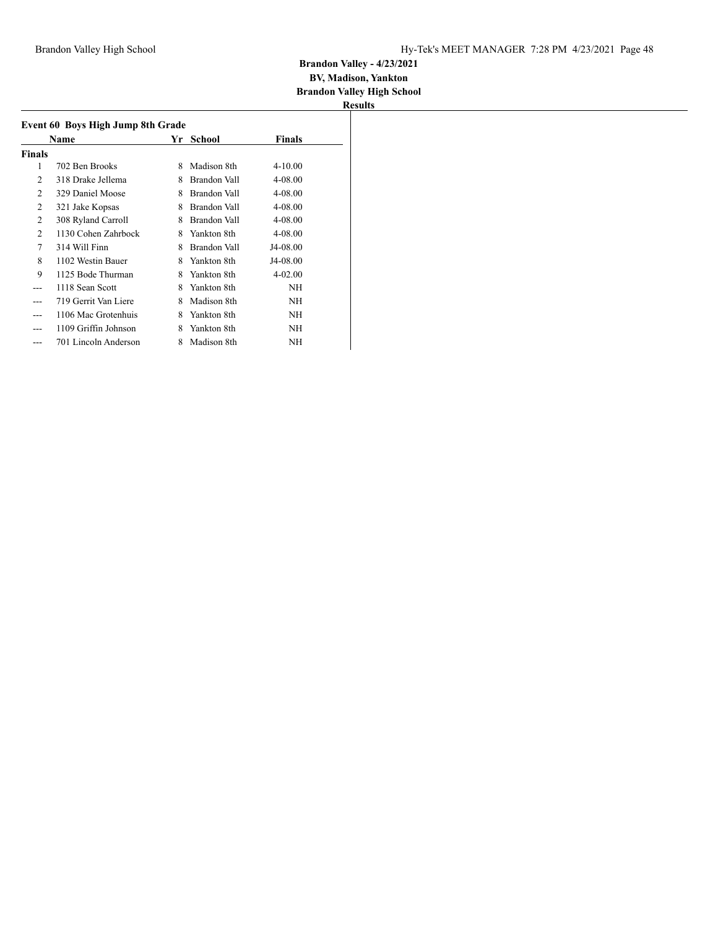#### **BV, Madison, Yankton Brandon Valley High School**

|                | Event 60 Boys High Jump 8th Grade |   |                     |             |
|----------------|-----------------------------------|---|---------------------|-------------|
|                | Name                              |   | Yr School           | Finals      |
| Finals         |                                   |   |                     |             |
| 1              | 702 Ben Brooks                    | 8 | Madison 8th         | $4 - 10.00$ |
| 2              | 318 Drake Jellema                 | 8 | Brandon Vall        | 4-08.00     |
| 2              | 329 Daniel Moose                  | 8 | <b>Brandon Vall</b> | 4-08.00     |
| $\overline{2}$ | 321 Jake Kopsas                   | 8 | Brandon Vall        | 4-08.00     |
| 2              | 308 Ryland Carroll                | 8 | Brandon Vall        | 4-08.00     |
| 2              | 1130 Cohen Zahrbock               | 8 | Yankton 8th         | $4 - 08.00$ |
| 7              | 314 Will Finn                     | 8 | Brandon Vall        | J4-08.00    |
| 8              | 1102 Westin Bauer                 | 8 | Yankton 8th         | J4-08.00    |
| 9              | 1125 Bode Thurman                 | 8 | Yankton 8th         | $4 - 02.00$ |
|                | 1118 Sean Scott                   | 8 | Yankton 8th         | NΗ          |
|                | 719 Gerrit Van Liere              | 8 | Madison 8th         | NΗ          |
|                | 1106 Mac Grotenhuis               | 8 | Yankton 8th         | NΗ          |
|                | 1109 Griffin Johnson              | 8 | Yankton 8th         | NΗ          |
|                | 701 Lincoln Anderson              | 8 | Madison 8th         | NΗ          |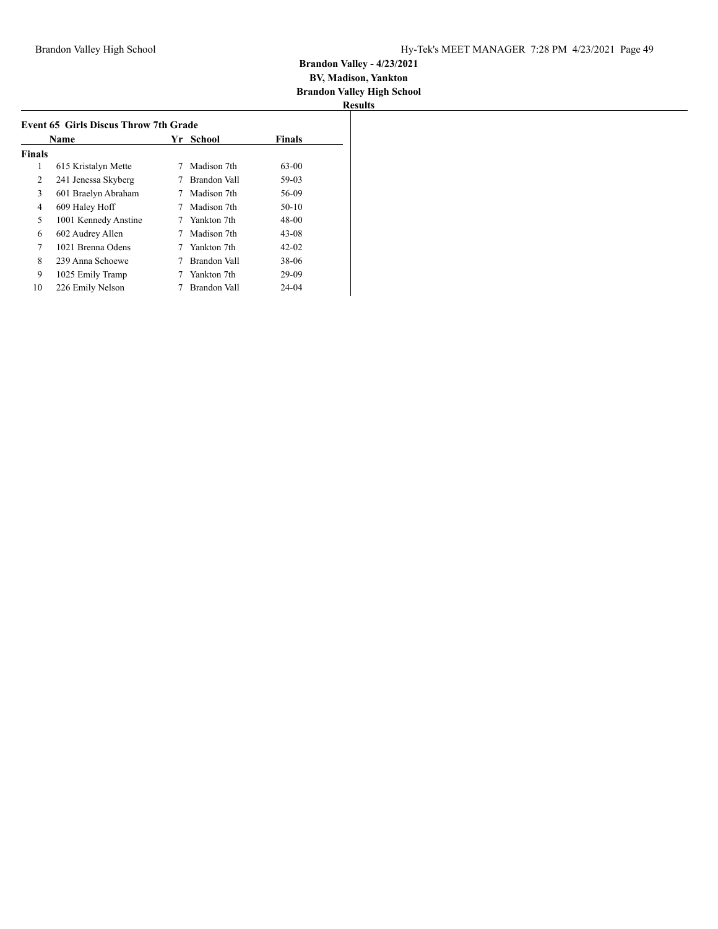|               | <b>Name</b>          |   | Yr School    | <b>Finals</b> |
|---------------|----------------------|---|--------------|---------------|
| <b>Finals</b> |                      |   |              |               |
| 1             | 615 Kristalyn Mette  | 7 | Madison 7th  | $63 - 00$     |
| 2             | 241 Jenessa Skyberg  |   | Brandon Vall | 59-03         |
| 3             | 601 Braelyn Abraham  | 7 | Madison 7th  | 56-09         |
| 4             | 609 Haley Hoff       |   | Madison 7th  | $50-10$       |
| 5             | 1001 Kennedy Anstine |   | Yankton 7th  | 48-00         |
| 6             | 602 Audrey Allen     |   | Madison 7th  | $43 - 08$     |
| 7             | 1021 Brenna Odens    |   | Yankton 7th  | $42 - 02$     |
| 8             | 239 Anna Schoewe     |   | Brandon Vall | 38-06         |
| 9             | 1025 Emily Tramp     |   | Yankton 7th  | 29-09         |
| 10            | 226 Emily Nelson     |   | Brandon Vall | 24-04         |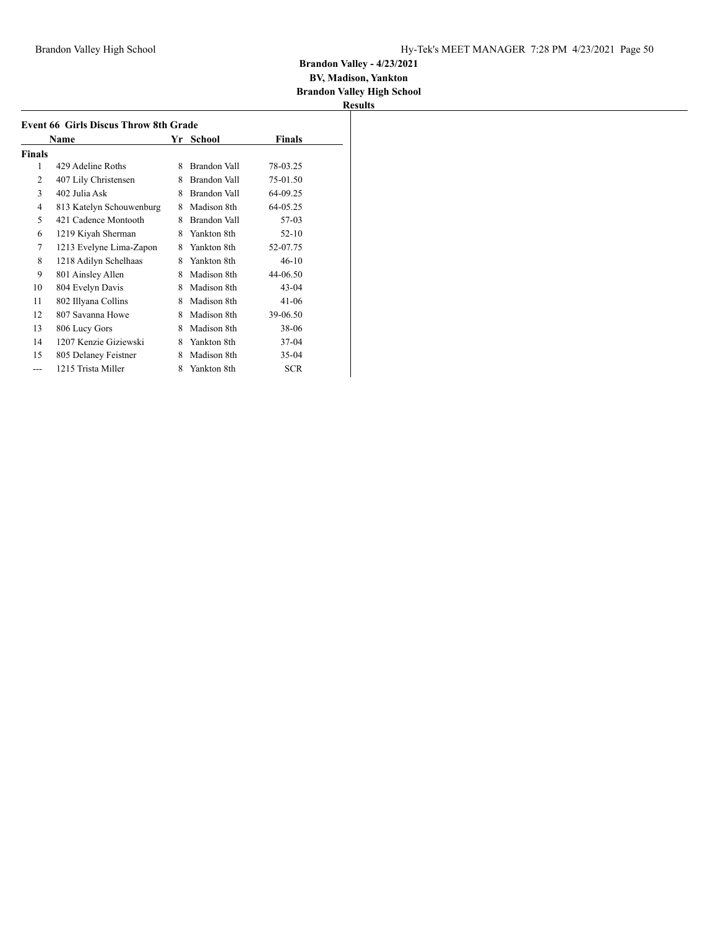# **Brandon Valley - 4/23/2021 BV, Madison, Yankton**

**Brandon Valley High School**

|        | Name                     |   | Yr School           | <b>Finals</b> |
|--------|--------------------------|---|---------------------|---------------|
| Finals |                          |   |                     |               |
| 1      | 429 Adeline Roths        | 8 | <b>Brandon Vall</b> | 78-03.25      |
| 2      | 407 Lily Christensen     | 8 | <b>Brandon Vall</b> | 75-01.50      |
| 3      | 402 Julia Ask            | 8 | <b>Brandon Vall</b> | 64-09.25      |
| 4      | 813 Katelyn Schouwenburg | 8 | Madison 8th         | 64-05.25      |
| 5      | 421 Cadence Montooth     | 8 | Brandon Vall        | 57-03         |
| 6      | 1219 Kiyah Sherman       | 8 | Yankton 8th         | $52 - 10$     |
| 7      | 1213 Evelyne Lima-Zapon  | 8 | Yankton 8th         | 52-07.75      |
| 8      | 1218 Adilyn Schelhaas    | 8 | Yankton 8th         | $46 - 10$     |
| 9      | 801 Ainsley Allen        | 8 | Madison 8th         | 44-06.50      |
| 10     | 804 Evelyn Davis         | 8 | Madison 8th         | $43 - 04$     |
| 11     | 802 Illyana Collins      | 8 | Madison 8th         | 41-06         |
| 12     | 807 Savanna Howe         | 8 | Madison 8th         | 39-06.50      |
| 13     | 806 Lucy Gors            | 8 | Madison 8th         | 38-06         |
| 14     | 1207 Kenzie Giziewski    | 8 | Yankton 8th         | 37-04         |
| 15     | 805 Delaney Feistner     | 8 | Madison 8th         | $35-04$       |
|        | 1215 Trista Miller       | 8 | Yankton 8th         | <b>SCR</b>    |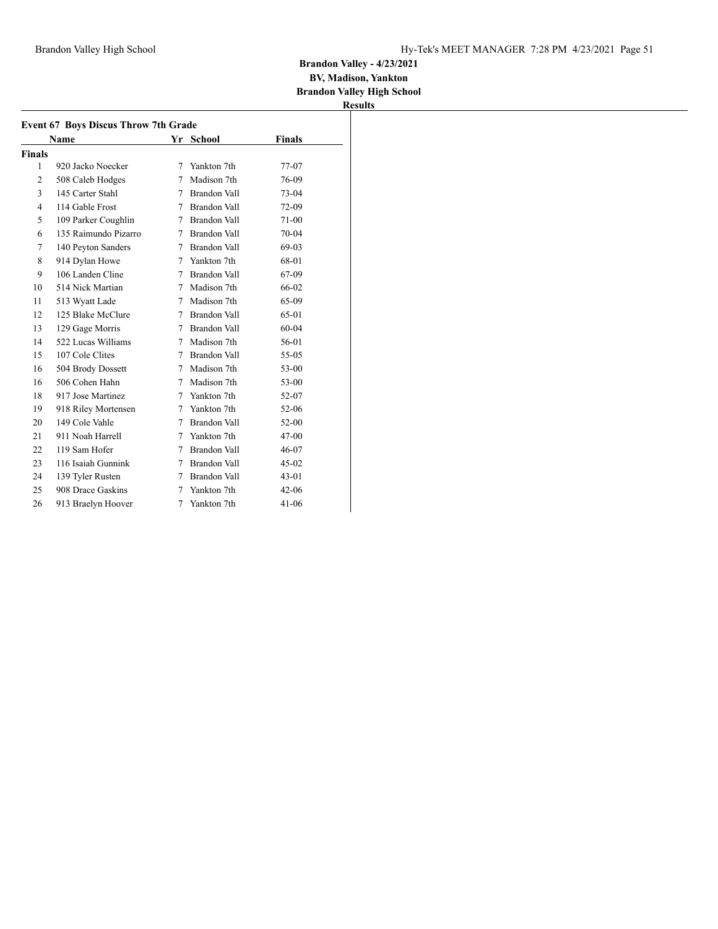**BV, Madison, Yankton**

**Brandon Valley High School Results**

|                | Name                 |   | Yr School           | Finals    |
|----------------|----------------------|---|---------------------|-----------|
| Finals         |                      |   |                     |           |
| 1              | 920 Jacko Noecker    | 7 | Yankton 7th         | 77-07     |
| 2              | 508 Caleb Hodges     | 7 | Madison 7th         | 76-09     |
| 3              | 145 Carter Stahl     | 7 | <b>Brandon Vall</b> | 73-04     |
| $\overline{4}$ | 114 Gable Frost      |   | 7 Brandon Vall      | 72-09     |
| 5              | 109 Parker Coughlin  | 7 | <b>Brandon Vall</b> | 71-00     |
| 6              | 135 Raimundo Pizarro |   | 7 Brandon Vall      | 70-04     |
| 7              | 140 Peyton Sanders   |   | 7 Brandon Vall      | 69-03     |
| 8              | 914 Dylan Howe       | 7 | Yankton 7th         | 68-01     |
| 9              | 106 Landen Cline     | 7 | Brandon Vall        | 67-09     |
| 10             | 514 Nick Martian     | 7 | Madison 7th         | 66-02     |
| 11             | 513 Wyatt Lade       | 7 | Madison 7th         | 65-09     |
| 12             | 125 Blake McClure    | 7 | Brandon Vall        | 65-01     |
| 13             | 129 Gage Morris      |   | 7 Brandon Vall      | $60 - 04$ |
| 14             | 522 Lucas Williams   | 7 | Madison 7th         | 56-01     |
| 15             | 107 Cole Clites      | 7 | <b>Brandon Vall</b> | 55-05     |
| 16             | 504 Brody Dossett    | 7 | Madison 7th         | 53-00     |
| 16             | 506 Cohen Hahn       | 7 | Madison 7th         | 53-00     |
| 18             | 917 Jose Martinez    | 7 | Yankton 7th         | 52-07     |
| 19             | 918 Riley Mortensen  | 7 | Yankton 7th         | 52-06     |
| 20             | 149 Cole Vahle       | 7 | Brandon Vall        | $52-00$   |
| 21             | 911 Noah Harrell     | 7 | Yankton 7th         | $47 - 00$ |
| 22             | 119 Sam Hofer        | 7 | Brandon Vall        | $46 - 07$ |
| 23             | 116 Isaiah Gunnink   | 7 | Brandon Vall        | $45-02$   |
| 24             | 139 Tyler Rusten     | 7 | <b>Brandon Vall</b> | $43 - 01$ |
| 25             | 908 Drace Gaskins    | 7 | Yankton 7th         | $42 - 06$ |
| 26             | 913 Braelyn Hoover   | 7 | Yankton 7th         | $41 - 06$ |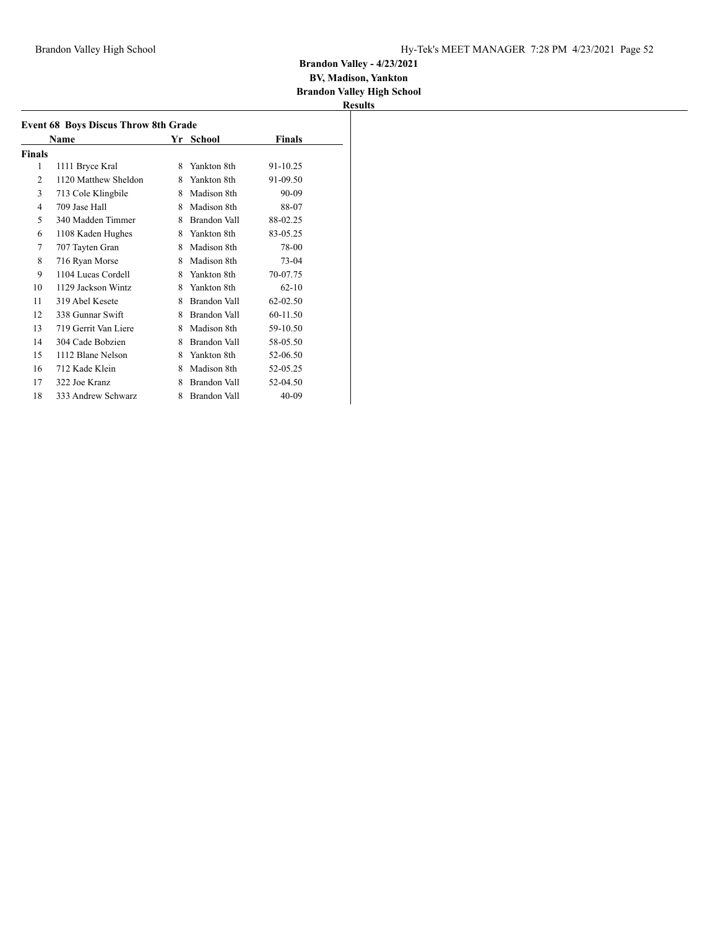**BV, Madison, Yankton Brandon Valley High School**

|        | <b>Event 68 Boys Discus Throw 8th Grade</b> |    |              |           |  |
|--------|---------------------------------------------|----|--------------|-----------|--|
|        | Name                                        | Yr | School       | Finals    |  |
| Finals |                                             |    |              |           |  |
| 1      | 1111 Bryce Kral                             | 8  | Yankton 8th  | 91-10.25  |  |
| 2      | 1120 Matthew Sheldon                        | 8  | Yankton 8th  | 91-09.50  |  |
| 3      | 713 Cole Klingbile                          | 8  | Madison 8th  | 90-09     |  |
| 4      | 709 Jase Hall                               | 8  | Madison 8th  | 88-07     |  |
| 5      | 340 Madden Timmer                           | 8  | Brandon Vall | 88-02.25  |  |
| 6      | 1108 Kaden Hughes                           | 8  | Yankton 8th  | 83-05.25  |  |
| 7      | 707 Tayten Gran                             | 8  | Madison 8th  | 78-00     |  |
| 8      | 716 Ryan Morse                              | 8  | Madison 8th  | 73-04     |  |
| 9      | 1104 Lucas Cordell                          | 8  | Yankton 8th  | 70-07.75  |  |
| 10     | 1129 Jackson Wintz                          | 8  | Yankton 8th  | $62 - 10$ |  |
| 11     | 319 Abel Kesete                             | 8  | Brandon Vall | 62-02.50  |  |
| 12     | 338 Gunnar Swift                            | 8  | Brandon Vall | 60-11.50  |  |
| 13     | 719 Gerrit Van Liere                        | 8  | Madison 8th  | 59-10.50  |  |
| 14     | 304 Cade Bobzien                            | 8  | Brandon Vall | 58-05.50  |  |
| 15     | 1112 Blane Nelson                           | 8  | Yankton 8th  | 52-06.50  |  |
| 16     | 712 Kade Klein                              | 8  | Madison 8th  | 52-05.25  |  |
| 17     | 322 Joe Kranz                               | 8  | Brandon Vall | 52-04.50  |  |
| 18     | 333 Andrew Schwarz                          | 8  | Brandon Vall | $40-09$   |  |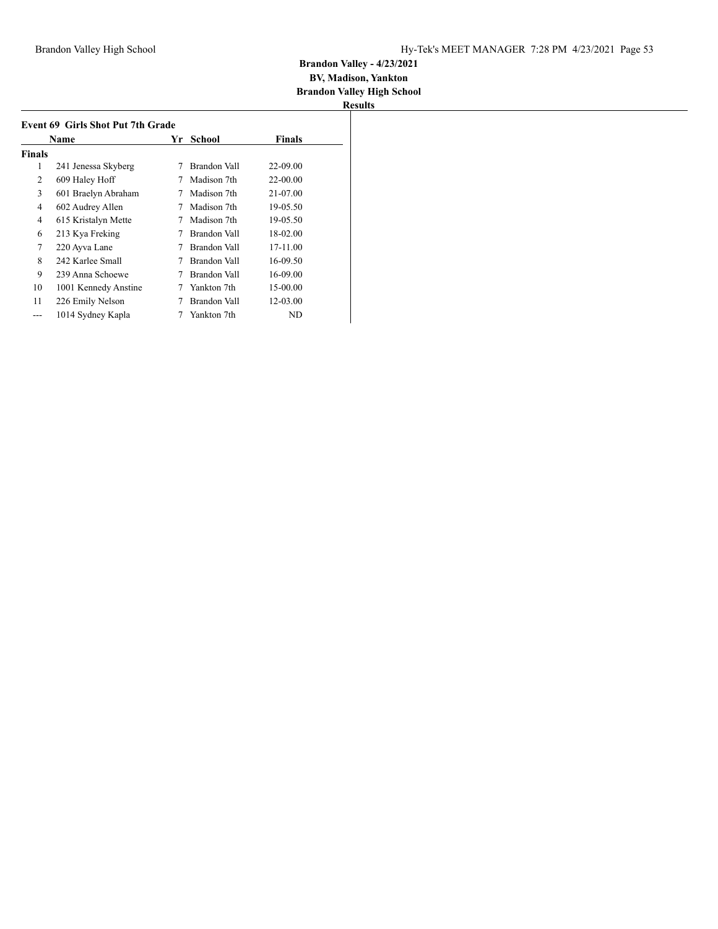| Results |  |
|---------|--|

|        | Name                 | Yr | School       | <b>Finals</b> |
|--------|----------------------|----|--------------|---------------|
| Finals |                      |    |              |               |
| 1      | 241 Jenessa Skyberg  | 7  | Brandon Vall | 22-09.00      |
| 2      | 609 Haley Hoff       |    | Madison 7th  | 22-00.00      |
| 3      | 601 Braelyn Abraham  | 7  | Madison 7th  | 21-07.00      |
| 4      | 602 Audrey Allen     | 7  | Madison 7th  | 19-05.50      |
| 4      | 615 Kristalyn Mette  | 7  | Madison 7th  | 19-05.50      |
| 6      | 213 Kya Freking      | 7  | Brandon Vall | 18-02.00      |
| 7      | 220 Ayva Lane        | 7  | Brandon Vall | 17-11.00      |
| 8      | 242 Karlee Small     | 7  | Brandon Vall | 16-09.50      |
| 9      | 239 Anna Schoewe     | 7  | Brandon Vall | 16-09.00      |
| 10     | 1001 Kennedy Anstine |    | Yankton 7th  | 15-00.00      |
| 11     | 226 Emily Nelson     |    | Brandon Vall | 12-03.00      |
|        | 1014 Sydney Kapla    |    | Yankton 7th  | ND            |
|        |                      |    |              |               |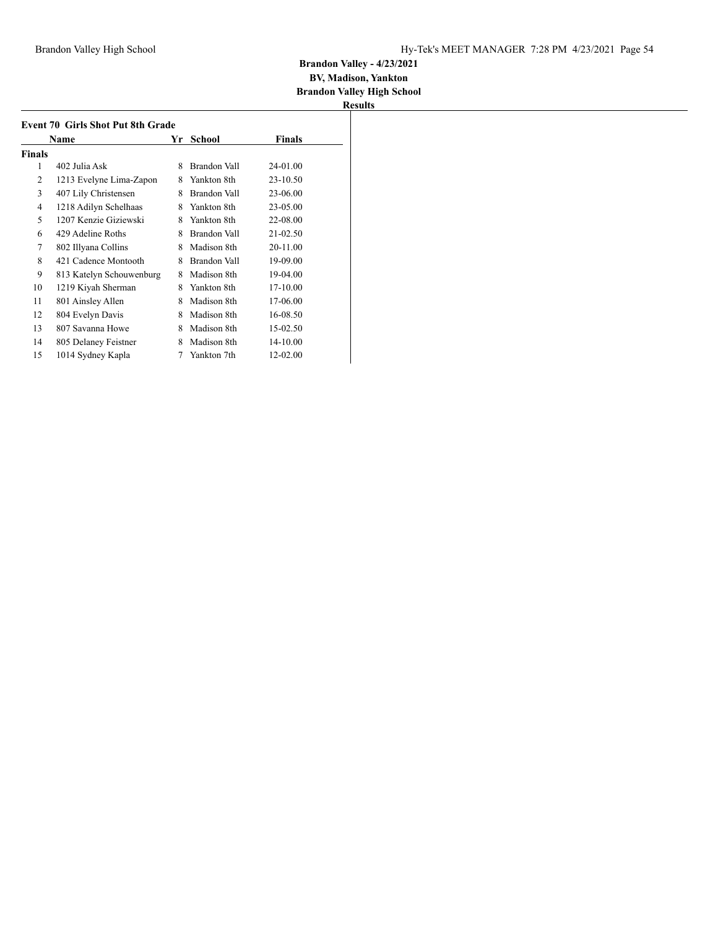|        | <b>Event 70 Girls Shot Put 8th Grade</b> |    |              |          |  |
|--------|------------------------------------------|----|--------------|----------|--|
|        | Name                                     | Yr | School       | Finals   |  |
| Finals |                                          |    |              |          |  |
| 1      | 402 Julia Ask                            | 8  | Brandon Vall | 24-01.00 |  |
| 2      | 1213 Evelyne Lima-Zapon                  | 8  | Yankton 8th  | 23-10.50 |  |
| 3      | 407 Lily Christensen                     | 8  | Brandon Vall | 23-06.00 |  |
| 4      | 1218 Adilyn Schelhaas                    | 8  | Yankton 8th  | 23-05.00 |  |
| 5      | 1207 Kenzie Giziewski                    | 8  | Yankton 8th  | 22-08.00 |  |
| 6      | 429 Adeline Roths                        | 8  | Brandon Vall | 21-02.50 |  |
| 7      | 802 Illyana Collins                      | 8  | Madison 8th  | 20-11.00 |  |
| 8      | 421 Cadence Montooth                     | 8  | Brandon Vall | 19-09.00 |  |
| 9      | 813 Katelyn Schouwenburg                 | 8  | Madison 8th  | 19-04.00 |  |
| 10     | 1219 Kiyah Sherman                       | 8  | Yankton 8th  | 17-10.00 |  |
| 11     | 801 Ainsley Allen                        | 8  | Madison 8th  | 17-06.00 |  |
| 12     | 804 Evelyn Davis                         | 8  | Madison 8th  | 16-08.50 |  |
| 13     | 807 Savanna Howe                         | 8  | Madison 8th  | 15-02.50 |  |
| 14     | 805 Delaney Feistner                     | 8  | Madison 8th  | 14-10.00 |  |
| 15     | 1014 Sydney Kapla                        | 7  | Yankton 7th  | 12-02.00 |  |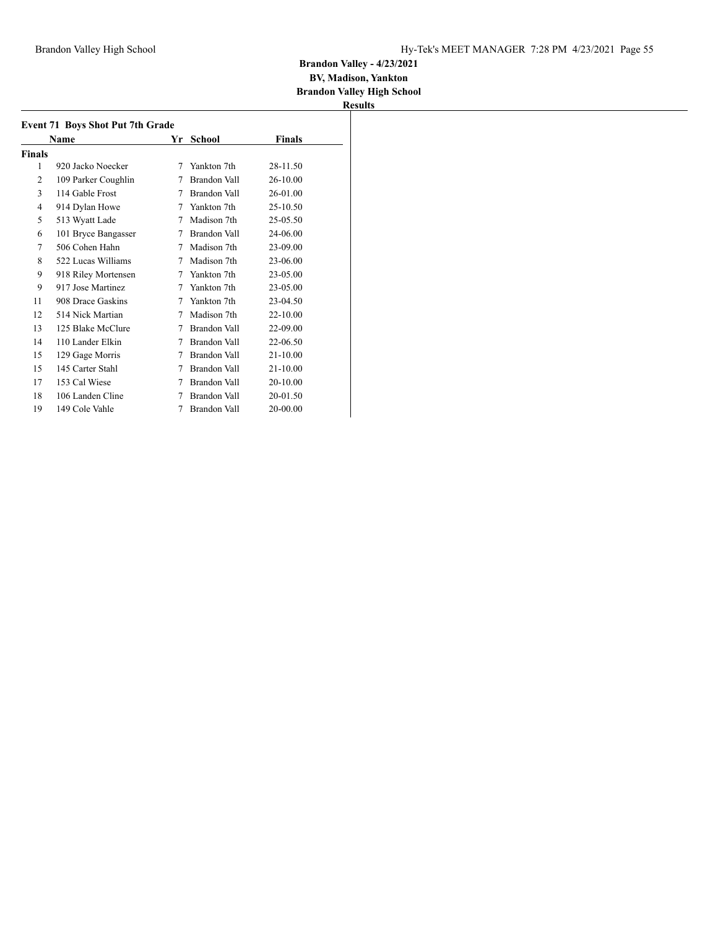#### **BV, Madison, Yankton Brandon Valley High School**

|                | <b>Event 71 Boys Shot Put 7th Grade</b> |    |              |              |  |
|----------------|-----------------------------------------|----|--------------|--------------|--|
|                | Name                                    | Yr | School       | Finals       |  |
| Finals         |                                         |    |              |              |  |
| 1              | 920 Jacko Noecker                       | 7  | Yankton 7th  | 28-11.50     |  |
| $\overline{c}$ | 109 Parker Coughlin                     | 7  | Brandon Vall | 26-10.00     |  |
| 3              | 114 Gable Frost                         | 7  | Brandon Vall | 26-01.00     |  |
| 4              | 914 Dylan Howe                          | 7  | Yankton 7th  | 25-10.50     |  |
| 5              | 513 Wyatt Lade                          | 7  | Madison 7th  | 25-05.50     |  |
| 6              | 101 Bryce Bangasser                     | 7  | Brandon Vall | 24-06.00     |  |
| 7              | 506 Cohen Hahn                          | 7  | Madison 7th  | 23-09.00     |  |
| 8              | 522 Lucas Williams                      | 7  | Madison 7th  | 23-06.00     |  |
| 9              | 918 Riley Mortensen                     | 7  | Yankton 7th  | 23-05.00     |  |
| 9              | 917 Jose Martinez                       | 7  | Yankton 7th  | 23-05.00     |  |
| 11             | 908 Drace Gaskins                       | 7  | Yankton 7th  | 23-04.50     |  |
| 12             | 514 Nick Martian                        | 7  | Madison 7th  | 22-10.00     |  |
| 13             | 125 Blake McClure                       | 7  | Brandon Vall | 22-09.00     |  |
| 14             | 110 Lander Elkin                        | 7  | Brandon Vall | 22-06.50     |  |
| 15             | 129 Gage Morris                         | 7  | Brandon Vall | 21-10.00     |  |
| 15             | 145 Carter Stahl                        | 7  | Brandon Vall | $21 - 10.00$ |  |
| 17             | 153 Cal Wiese                           | 7  | Brandon Vall | 20-10.00     |  |
| 18             | 106 Landen Cline                        | 7  | Brandon Vall | 20-01.50     |  |
| 19             | 149 Cole Vahle                          | 7  | Brandon Vall | 20-00.00     |  |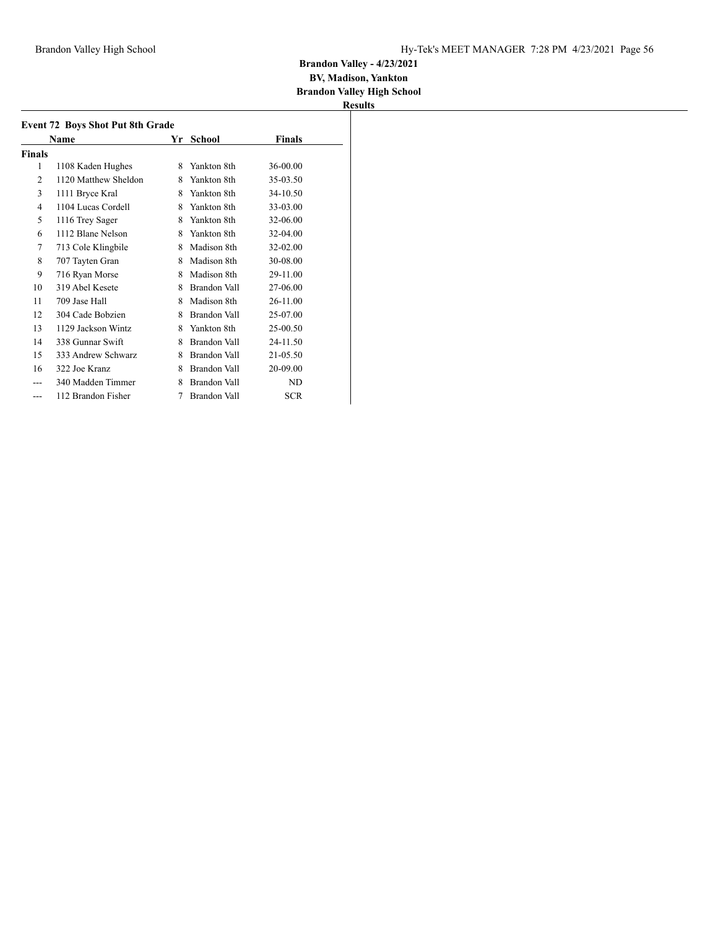#### **BV, Madison, Yankton Brandon Valley High School**

|                             | <b>Event 72 Boys Shot Put 8th Grade</b> |    |              |            |
|-----------------------------|-----------------------------------------|----|--------------|------------|
|                             | Name                                    | Yr | School       | Finals     |
| Finals                      |                                         |    |              |            |
| 1                           | 1108 Kaden Hughes                       | 8  | Yankton 8th  | 36-00.00   |
| $\mathcal{D}_{\mathcal{L}}$ | 1120 Matthew Sheldon                    | 8  | Yankton 8th  | 35-03.50   |
| 3                           | 1111 Bryce Kral                         | 8  | Yankton 8th  | 34-10.50   |
| 4                           | 1104 Lucas Cordell                      | 8  | Yankton 8th  | 33-03.00   |
| 5                           | 1116 Trey Sager                         | 8  | Yankton 8th  | 32-06.00   |
| 6                           | 1112 Blane Nelson                       | 8  | Yankton 8th  | 32-04.00   |
| 7                           | 713 Cole Klingbile                      | 8  | Madison 8th  | 32-02.00   |
| 8                           | 707 Tayten Gran                         | 8  | Madison 8th  | 30-08.00   |
| 9                           | 716 Ryan Morse                          | 8  | Madison 8th  | 29-11.00   |
| 10                          | 319 Abel Kesete                         | 8  | Brandon Vall | 27-06.00   |
| 11                          | 709 Jase Hall                           | 8  | Madison 8th  | 26-11.00   |
| 12                          | 304 Cade Bobzien                        | 8  | Brandon Vall | 25-07.00   |
| 13                          | 1129 Jackson Wintz                      | 8  | Yankton 8th  | 25-00.50   |
| 14                          | 338 Gunnar Swift                        | 8  | Brandon Vall | 24-11.50   |
| 15                          | 333 Andrew Schwarz                      | 8  | Brandon Vall | 21-05.50   |
| 16                          | 322 Joe Kranz                           | 8  | Brandon Vall | 20-09.00   |
|                             | 340 Madden Timmer                       | 8  | Brandon Vall | ND         |
| ---                         | 112 Brandon Fisher                      | 7  | Brandon Vall | <b>SCR</b> |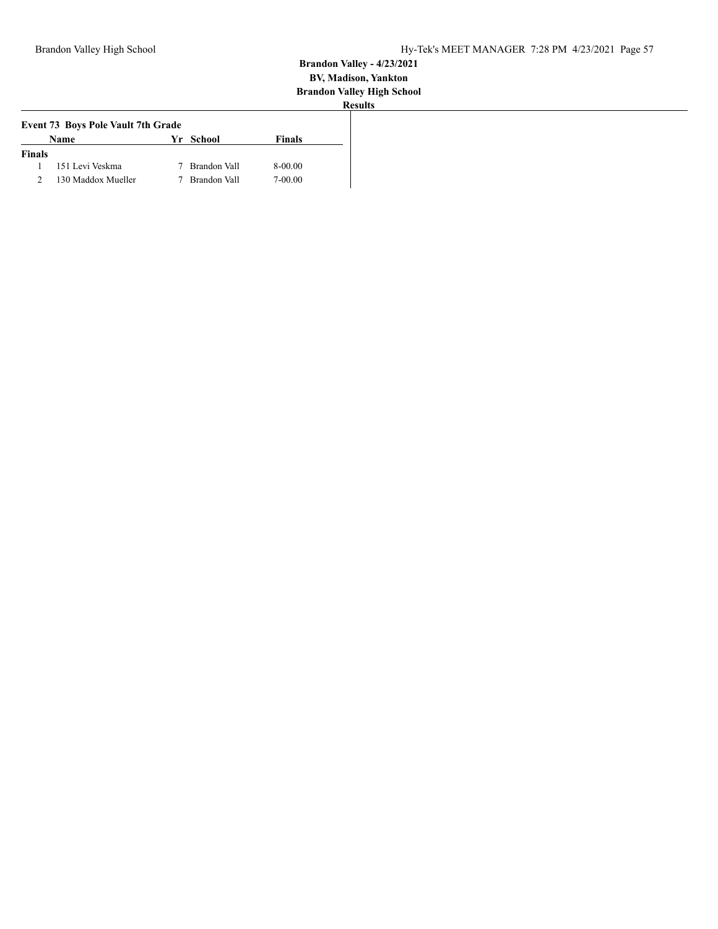| Name               |  | <b>Finals</b>                                                                              |
|--------------------|--|--------------------------------------------------------------------------------------------|
| <b>Finals</b>      |  |                                                                                            |
| 151 Levi Veskma    |  | 8-00.00                                                                                    |
| 130 Maddox Mueller |  | 7-00.00                                                                                    |
|                    |  | <b>Event 73 Boys Pole Vault 7th Grade</b><br>Yr School<br>7 Brandon Vall<br>7 Brandon Vall |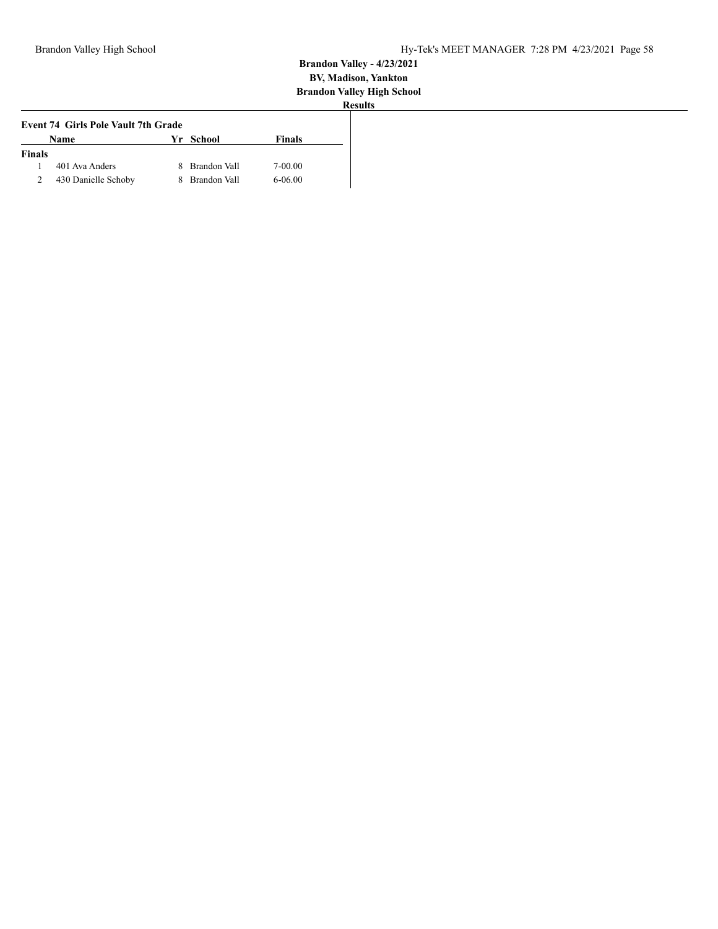|                | <b>Event 74 Girls Pole Vault 7th Grade</b> |  |                |               |  |  |  |
|----------------|--------------------------------------------|--|----------------|---------------|--|--|--|
|                | Name                                       |  | Yr School      | <b>Finals</b> |  |  |  |
| <b>Finals</b>  |                                            |  |                |               |  |  |  |
|                | 401 Ava Anders                             |  | 8 Brandon Vall | 7-00.00       |  |  |  |
| $\overline{2}$ | 430 Danielle Schoby                        |  | 8 Brandon Vall | $6 - 06.00$   |  |  |  |
|                |                                            |  |                |               |  |  |  |